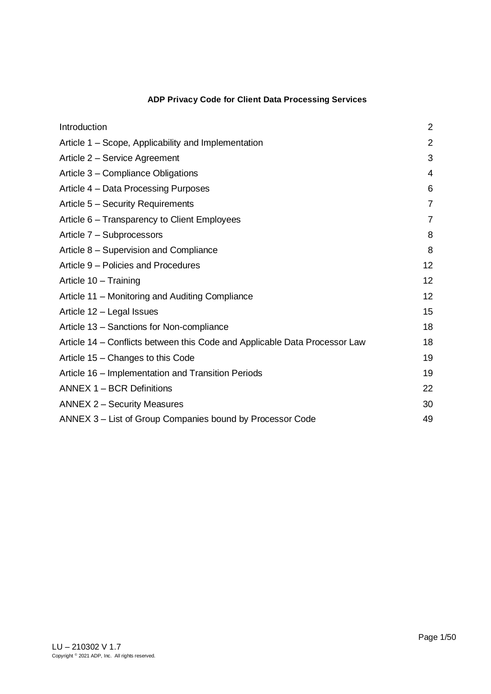# **ADP Privacy Code for Client Data Processing Services**

| Introduction                                                               | $\overline{2}$ |
|----------------------------------------------------------------------------|----------------|
| Article 1 – Scope, Applicability and Implementation                        | $\overline{2}$ |
| Article 2 - Service Agreement                                              | 3              |
| Article 3 – Compliance Obligations                                         | 4              |
| Article 4 – Data Processing Purposes                                       | 6              |
| Article 5 - Security Requirements                                          | $\overline{7}$ |
| Article 6 - Transparency to Client Employees                               | $\overline{7}$ |
| Article 7 - Subprocessors                                                  | 8              |
| Article 8 - Supervision and Compliance                                     | 8              |
| Article 9 – Policies and Procedures                                        | 12             |
| Article 10 - Training                                                      | 12             |
| Article 11 – Monitoring and Auditing Compliance                            | 12             |
| Article 12 - Legal Issues                                                  | 15             |
| Article 13 - Sanctions for Non-compliance                                  | 18             |
| Article 14 – Conflicts between this Code and Applicable Data Processor Law | 18             |
| Article 15 – Changes to this Code                                          | 19             |
| Article 16 – Implementation and Transition Periods                         | 19             |
| ANNEX 1 - BCR Definitions                                                  | 22             |
| <b>ANNEX 2 - Security Measures</b>                                         | 30             |
| ANNEX 3 – List of Group Companies bound by Processor Code                  | 49             |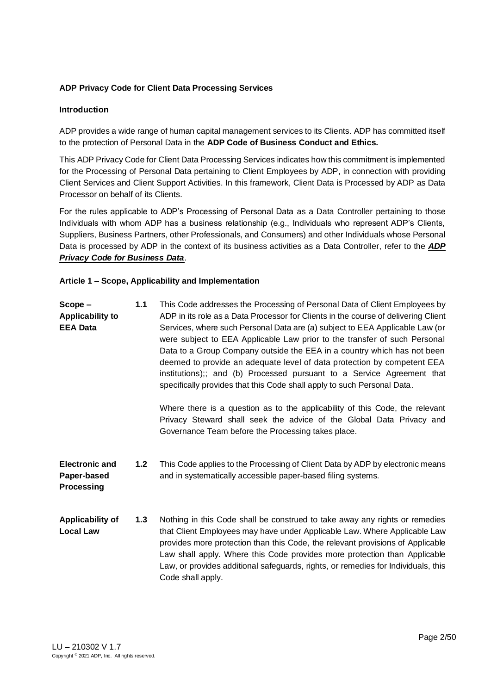# <span id="page-1-0"></span>**ADP Privacy Code for Client Data Processing Services**

# **Introduction**

ADP provides a wide range of human capital management services to its Clients. ADP has committed itself to the protection of Personal Data in the **ADP Code of Business Conduct and Ethics.**

This ADP Privacy Code for Client Data Processing Services indicates how this commitment is implemented for the Processing of Personal Data pertaining to Client Employees by ADP, in connection with providing Client Services and Client Support Activities. In this framework, Client Data is Processed by ADP as Data Processor on behalf of its Clients.

For the rules applicable to ADP's Processing of Personal Data as a Data Controller pertaining to those Individuals with whom ADP has a business relationship (e.g., Individuals who represent ADP's Clients, Suppliers, Business Partners, other Professionals, and Consumers) and other Individuals whose Personal Data is processed by ADP in the context of its business activities as a Data Controller, refer to the *ADP Privacy Code for Business Data*.

# <span id="page-1-1"></span>**Article 1 – Scope, Applicability and Implementation**

| $Scope -$<br><b>Applicability to</b><br><b>EEA Data</b>   | 1.1 | This Code addresses the Processing of Personal Data of Client Employees by<br>ADP in its role as a Data Processor for Clients in the course of delivering Client<br>Services, where such Personal Data are (a) subject to EEA Applicable Law (or<br>were subject to EEA Applicable Law prior to the transfer of such Personal<br>Data to a Group Company outside the EEA in a country which has not been<br>deemed to provide an adequate level of data protection by competent EEA<br>institutions);; and (b) Processed pursuant to a Service Agreement that<br>specifically provides that this Code shall apply to such Personal Data. |
|-----------------------------------------------------------|-----|------------------------------------------------------------------------------------------------------------------------------------------------------------------------------------------------------------------------------------------------------------------------------------------------------------------------------------------------------------------------------------------------------------------------------------------------------------------------------------------------------------------------------------------------------------------------------------------------------------------------------------------|
|                                                           |     | Where there is a question as to the applicability of this Code, the relevant<br>Privacy Steward shall seek the advice of the Global Data Privacy and<br>Governance Team before the Processing takes place.                                                                                                                                                                                                                                                                                                                                                                                                                               |
| <b>Electronic and</b><br>Paper-based<br><b>Processing</b> | 1.2 | This Code applies to the Processing of Client Data by ADP by electronic means<br>and in systematically accessible paper-based filing systems.                                                                                                                                                                                                                                                                                                                                                                                                                                                                                            |
| Applicability of<br><b>Local Law</b>                      | 1.3 | Nothing in this Code shall be construed to take away any rights or remedies<br>that Client Employees may have under Applicable Law. Where Applicable Law<br>$\mathcal{L}$ . The set of the set of the set of the set of the set of the set of the set of the set of the set of the set of the set of the set of the set of the set of the set of the set of the set of the set of the set of t                                                                                                                                                                                                                                           |

provides more protection than this Code, the relevant provisions of Applicable Law shall apply. Where this Code provides more protection than Applicable Law, or provides additional safeguards, rights, or remedies for Individuals, this Code shall apply.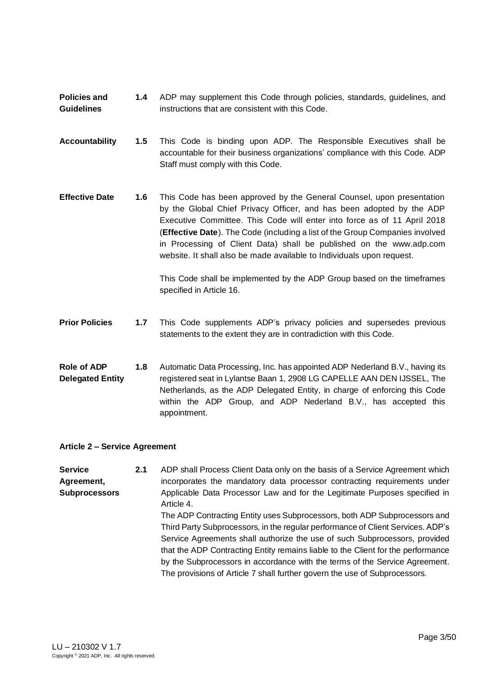**Policies and Guidelines 1.4** ADP may supplement this Code through policies, standards, guidelines, and instructions that are consistent with this Code.

- **Accountability 1.5** This Code is binding upon ADP. The Responsible Executives shall be accountable for their business organizations' compliance with this Code. ADP Staff must comply with this Code.
- **Effective Date 1.6** This Code has been approved by the General Counsel, upon presentation by the Global Chief Privacy Officer, and has been adopted by the ADP Executive Committee. This Code will enter into force as of 11 April 2018 (**Effective Date**). The Code (including a list of the Group Companies involved in Processing of Client Data) shall be published on the www.adp.com website. It shall also be made available to Individuals upon request.

This Code shall be implemented by the ADP Group based on the timeframes specified in Article 16.

**Prior Policies 1.7** This Code supplements ADP's privacy policies and supersedes previous statements to the extent they are in contradiction with this Code.

**Role of ADP Delegated Entity 1.8** Automatic Data Processing, Inc. has appointed ADP Nederland B.V., having its registered seat in Lylantse Baan 1, 2908 LG CAPELLE AAN DEN IJSSEL, The Netherlands, as the ADP Delegated Entity, in charge of enforcing this Code within the ADP Group, and ADP Nederland B.V., has accepted this appointment.

### <span id="page-2-0"></span>**Article 2 – Service Agreement**

**Service Agreement, Subprocessors 2.1** ADP shall Process Client Data only on the basis of a Service Agreement which incorporates the mandatory data processor contracting requirements under Applicable Data Processor Law and for the Legitimate Purposes specified in Article 4. The ADP Contracting Entity uses Subprocessors, both ADP Subprocessors and Third Party Subprocessors, in the regular performance of Client Services. ADP's Service Agreements shall authorize the use of such Subprocessors, provided that the ADP Contracting Entity remains liable to the Client for the performance by the Subprocessors in accordance with the terms of the Service Agreement. The provisions of Article 7 shall further govern the use of Subprocessors.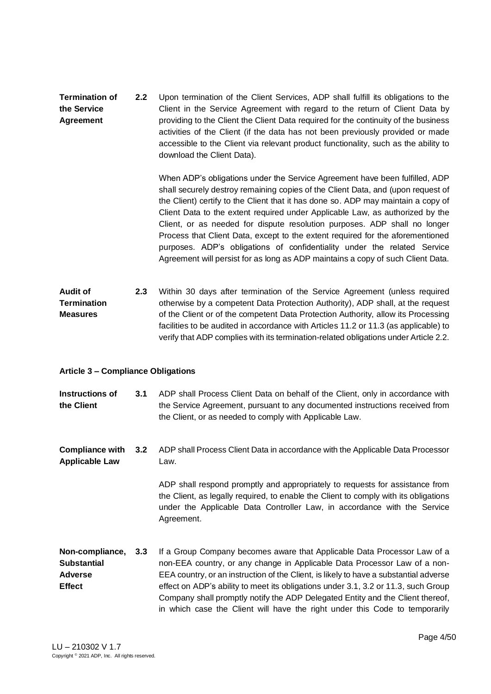**Termination of the Service Agreement 2.2** Upon termination of the Client Services, ADP shall fulfill its obligations to the Client in the Service Agreement with regard to the return of Client Data by providing to the Client the Client Data required for the continuity of the business activities of the Client (if the data has not been previously provided or made accessible to the Client via relevant product functionality, such as the ability to download the Client Data).

> When ADP's obligations under the Service Agreement have been fulfilled, ADP shall securely destroy remaining copies of the Client Data, and (upon request of the Client) certify to the Client that it has done so. ADP may maintain a copy of Client Data to the extent required under Applicable Law, as authorized by the Client, or as needed for dispute resolution purposes. ADP shall no longer Process that Client Data, except to the extent required for the aforementioned purposes. ADP's obligations of confidentiality under the related Service Agreement will persist for as long as ADP maintains a copy of such Client Data.

#### **Audit of Termination Measures 2.3** Within 30 days after termination of the Service Agreement (unless required otherwise by a competent Data Protection Authority), ADP shall, at the request of the Client or of the competent Data Protection Authority, allow its Processing facilities to be audited in accordance with Articles 11.2 or 11.3 (as applicable) to verify that ADP complies with its termination-related obligations under Article 2.2.

### <span id="page-3-0"></span>**Article 3 – Compliance Obligations**

| Instructions of | 3.1 | ADP shall Process Client Data on behalf of the Client, only in accordance with |
|-----------------|-----|--------------------------------------------------------------------------------|
| the Client      |     | the Service Agreement, pursuant to any documented instructions received from   |
|                 |     | the Client, or as needed to comply with Applicable Law.                        |

**Compliance with Applicable Law 3.2** ADP shall Process Client Data in accordance with the Applicable Data Processor Law.

> ADP shall respond promptly and appropriately to requests for assistance from the Client, as legally required, to enable the Client to comply with its obligations under the Applicable Data Controller Law, in accordance with the Service Agreement.

**Non-compliance, Substantial Adverse Effect 3.3** If a Group Company becomes aware that Applicable Data Processor Law of a non-EEA country, or any change in Applicable Data Processor Law of a non-EEA country, or an instruction of the Client, is likely to have a substantial adverse effect on ADP's ability to meet its obligations under 3.1, 3.2 or 11.3, such Group Company shall promptly notify the ADP Delegated Entity and the Client thereof, in which case the Client will have the right under this Code to temporarily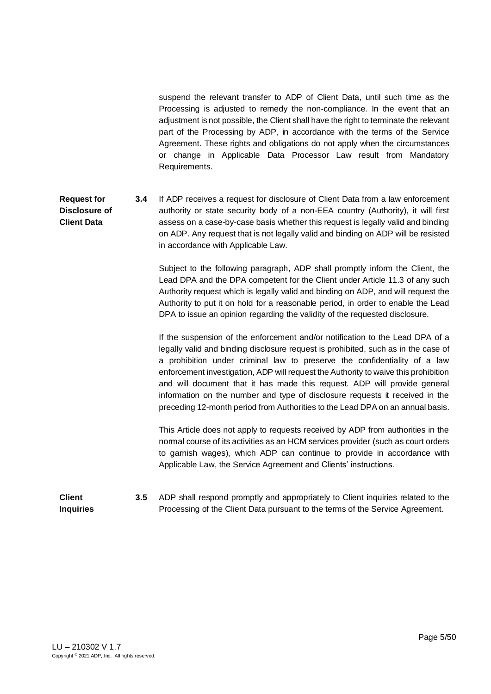suspend the relevant transfer to ADP of Client Data, until such time as the Processing is adjusted to remedy the non-compliance. In the event that an adjustment is not possible, the Client shall have the right to terminate the relevant part of the Processing by ADP, in accordance with the terms of the Service Agreement. These rights and obligations do not apply when the circumstances or change in Applicable Data Processor Law result from Mandatory Requirements.

**Request for Disclosure of Client Data 3.4** If ADP receives a request for disclosure of Client Data from a law enforcement authority or state security body of a non-EEA country (Authority), it will first assess on a case-by-case basis whether this request is legally valid and binding on ADP. Any request that is not legally valid and binding on ADP will be resisted in accordance with Applicable Law.

> Subject to the following paragraph, ADP shall promptly inform the Client, the Lead DPA and the DPA competent for the Client under Article 11.3 of any such Authority request which is legally valid and binding on ADP, and will request the Authority to put it on hold for a reasonable period, in order to enable the Lead DPA to issue an opinion regarding the validity of the requested disclosure.

> If the suspension of the enforcement and/or notification to the Lead DPA of a legally valid and binding disclosure request is prohibited, such as in the case of a prohibition under criminal law to preserve the confidentiality of a law enforcement investigation, ADP will request the Authority to waive this prohibition and will document that it has made this request. ADP will provide general information on the number and type of disclosure requests it received in the preceding 12-month period from Authorities to the Lead DPA on an annual basis.

> This Article does not apply to requests received by ADP from authorities in the normal course of its activities as an HCM services provider (such as court orders to garnish wages), which ADP can continue to provide in accordance with Applicable Law, the Service Agreement and Clients' instructions.

**Client Inquiries 3.5** ADP shall respond promptly and appropriately to Client inquiries related to the Processing of the Client Data pursuant to the terms of the Service Agreement.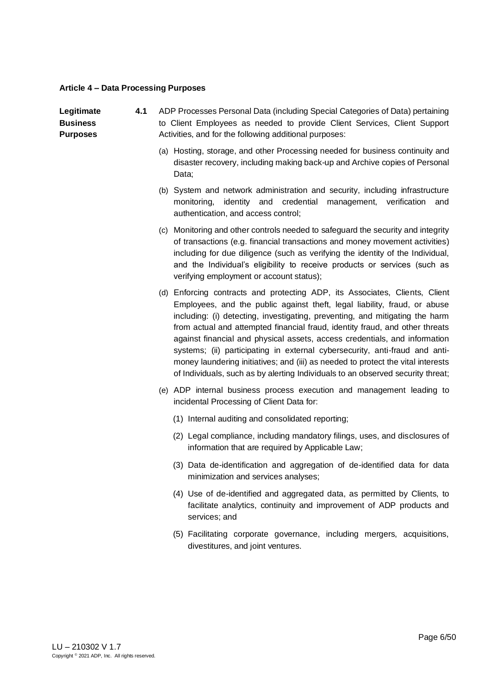# <span id="page-5-0"></span>**Article 4 – Data Processing Purposes**

| Legitimate<br><b>Business</b><br><b>Purposes</b> | 4.1 | ADP Processes Personal Data (including Special Categories of Data) pertaining<br>to Client Employees as needed to provide Client Services, Client Support<br>Activities, and for the following additional purposes:                                                                                                                                                                                                                                                                                                                                                                                                                                          |
|--------------------------------------------------|-----|--------------------------------------------------------------------------------------------------------------------------------------------------------------------------------------------------------------------------------------------------------------------------------------------------------------------------------------------------------------------------------------------------------------------------------------------------------------------------------------------------------------------------------------------------------------------------------------------------------------------------------------------------------------|
|                                                  |     | (a) Hosting, storage, and other Processing needed for business continuity and<br>disaster recovery, including making back-up and Archive copies of Personal<br>Data;                                                                                                                                                                                                                                                                                                                                                                                                                                                                                         |
|                                                  |     | (b) System and network administration and security, including infrastructure<br>monitoring, identity and credential management, verification<br>and<br>authentication, and access control;                                                                                                                                                                                                                                                                                                                                                                                                                                                                   |
|                                                  |     | (c) Monitoring and other controls needed to safeguard the security and integrity<br>of transactions (e.g. financial transactions and money movement activities)<br>including for due diligence (such as verifying the identity of the Individual,<br>and the Individual's eligibility to receive products or services (such as<br>verifying employment or account status);                                                                                                                                                                                                                                                                                   |
|                                                  |     | (d) Enforcing contracts and protecting ADP, its Associates, Clients, Client<br>Employees, and the public against theft, legal liability, fraud, or abuse<br>including: (i) detecting, investigating, preventing, and mitigating the harm<br>from actual and attempted financial fraud, identity fraud, and other threats<br>against financial and physical assets, access credentials, and information<br>systems; (ii) participating in external cybersecurity, anti-fraud and anti-<br>money laundering initiatives; and (iii) as needed to protect the vital interests<br>of Individuals, such as by alerting Individuals to an observed security threat; |
|                                                  |     | (e) ADP internal business process execution and management leading to<br>incidental Processing of Client Data for:                                                                                                                                                                                                                                                                                                                                                                                                                                                                                                                                           |
|                                                  |     | (1) Internal auditing and consolidated reporting;                                                                                                                                                                                                                                                                                                                                                                                                                                                                                                                                                                                                            |
|                                                  |     | (2) Legal compliance, including mandatory filings, uses, and disclosures of<br>information that are required by Applicable Law;                                                                                                                                                                                                                                                                                                                                                                                                                                                                                                                              |
|                                                  |     | (3) Data de-identification and aggregation of de-identified data for data<br>minimization and services analyses;                                                                                                                                                                                                                                                                                                                                                                                                                                                                                                                                             |
|                                                  |     | (4) Use of de-identified and aggregated data, as permitted by Clients, to<br>facilitate analytics, continuity and improvement of ADP products and<br>services; and                                                                                                                                                                                                                                                                                                                                                                                                                                                                                           |

(5) Facilitating corporate governance, including mergers, acquisitions, divestitures, and joint ventures.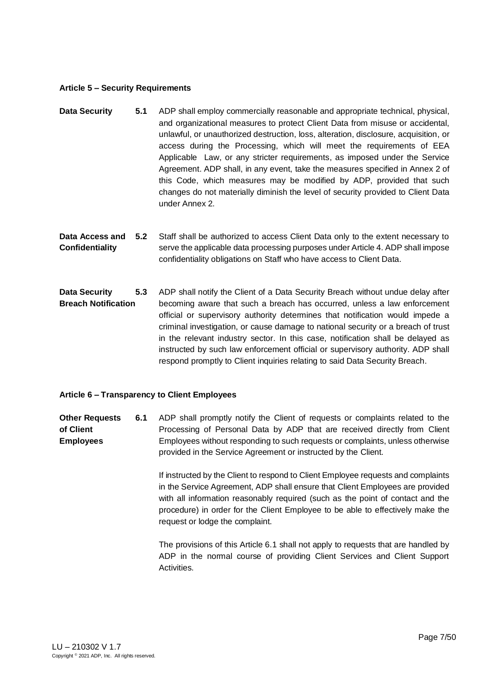#### <span id="page-6-0"></span>**Article 5 – Security Requirements**

- **Data Security 5.1** ADP shall employ commercially reasonable and appropriate technical, physical, and organizational measures to protect Client Data from misuse or accidental, unlawful, or unauthorized destruction, loss, alteration, disclosure, acquisition, or access during the Processing, which will meet the requirements of EEA Applicable Law, or any stricter requirements, as imposed under the Service Agreement. ADP shall, in any event, take the measures specified in Annex 2 of this Code, which measures may be modified by ADP, provided that such changes do not materially diminish the level of security provided to Client Data under Annex 2.
- **Data Access and Confidentiality 5.2** Staff shall be authorized to access Client Data only to the extent necessary to serve the applicable data processing purposes under Article 4. ADP shall impose confidentiality obligations on Staff who have access to Client Data.
- **Data Security Breach Notification 5.3** ADP shall notify the Client of a Data Security Breach without undue delay after becoming aware that such a breach has occurred, unless a law enforcement official or supervisory authority determines that notification would impede a criminal investigation, or cause damage to national security or a breach of trust in the relevant industry sector. In this case, notification shall be delayed as instructed by such law enforcement official or supervisory authority. ADP shall respond promptly to Client inquiries relating to said Data Security Breach.

## <span id="page-6-1"></span>**Article 6 – Transparency to Client Employees**

**Other Requests of Client Employees 6.1** ADP shall promptly notify the Client of requests or complaints related to the Processing of Personal Data by ADP that are received directly from Client Employees without responding to such requests or complaints, unless otherwise provided in the Service Agreement or instructed by the Client.

> If instructed by the Client to respond to Client Employee requests and complaints in the Service Agreement, ADP shall ensure that Client Employees are provided with all information reasonably required (such as the point of contact and the procedure) in order for the Client Employee to be able to effectively make the request or lodge the complaint.

> The provisions of this Article 6.1 shall not apply to requests that are handled by ADP in the normal course of providing Client Services and Client Support Activities.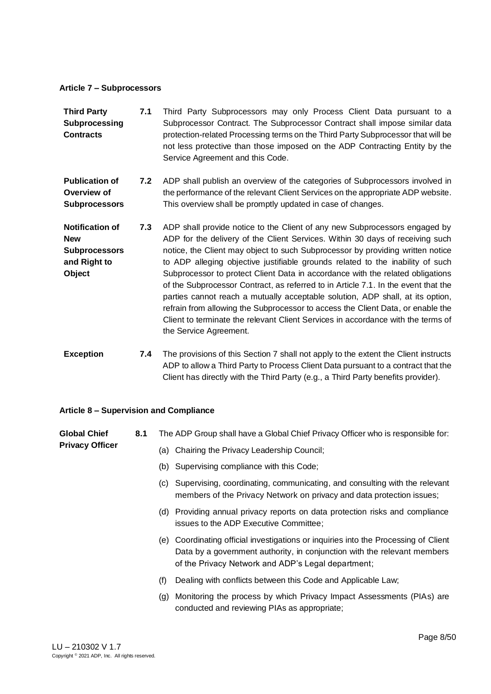#### <span id="page-7-0"></span>**Article 7 – Subprocessors**

| <b>Third Party</b><br>Subprocessing<br><b>Contracts</b>                                | 7.1 | Third Party Subprocessors may only Process Client Data pursuant to a<br>Subprocessor Contract. The Subprocessor Contract shall impose similar data<br>protection-related Processing terms on the Third Party Subprocessor that will be<br>not less protective than those imposed on the ADP Contracting Entity by the<br>Service Agreement and this Code.                                                                                                                                                                                                                                                                                                                                                                                                                                  |
|----------------------------------------------------------------------------------------|-----|--------------------------------------------------------------------------------------------------------------------------------------------------------------------------------------------------------------------------------------------------------------------------------------------------------------------------------------------------------------------------------------------------------------------------------------------------------------------------------------------------------------------------------------------------------------------------------------------------------------------------------------------------------------------------------------------------------------------------------------------------------------------------------------------|
| <b>Publication of</b><br>Overview of<br><b>Subprocessors</b>                           | 7.2 | ADP shall publish an overview of the categories of Subprocessors involved in<br>the performance of the relevant Client Services on the appropriate ADP website.<br>This overview shall be promptly updated in case of changes.                                                                                                                                                                                                                                                                                                                                                                                                                                                                                                                                                             |
| <b>Notification of</b><br><b>New</b><br><b>Subprocessors</b><br>and Right to<br>Object | 7.3 | ADP shall provide notice to the Client of any new Subprocessors engaged by<br>ADP for the delivery of the Client Services. Within 30 days of receiving such<br>notice, the Client may object to such Subprocessor by providing written notice<br>to ADP alleging objective justifiable grounds related to the inability of such<br>Subprocessor to protect Client Data in accordance with the related obligations<br>of the Subprocessor Contract, as referred to in Article 7.1. In the event that the<br>parties cannot reach a mutually acceptable solution, ADP shall, at its option,<br>refrain from allowing the Subprocessor to access the Client Data, or enable the<br>Client to terminate the relevant Client Services in accordance with the terms of<br>the Service Agreement. |
| <b>Exception</b>                                                                       | 7.4 | The provisions of this Section 7 shall not apply to the extent the Client instructs<br>ADP to allow a Third Party to Process Client Data pursuant to a contract that the                                                                                                                                                                                                                                                                                                                                                                                                                                                                                                                                                                                                                   |

#### <span id="page-7-1"></span>**Article 8 – Supervision and Compliance**

**Privacy Officer**

**Global Chief 8.1** The ADP Group shall have a Global Chief Privacy Officer who is responsible for:

- (a) Chairing the Privacy Leadership Council;
- (b) Supervising compliance with this Code;
- (c) Supervising, coordinating, communicating, and consulting with the relevant members of the Privacy Network on privacy and data protection issues;

Client has directly with the Third Party (e.g., a Third Party benefits provider).

- (d) Providing annual privacy reports on data protection risks and compliance issues to the ADP Executive Committee;
- (e) Coordinating official investigations or inquiries into the Processing of Client Data by a government authority, in conjunction with the relevant members of the Privacy Network and ADP's Legal department;
- (f) Dealing with conflicts between this Code and Applicable Law;
- (g) Monitoring the process by which Privacy Impact Assessments (PIAs) are conducted and reviewing PIAs as appropriate;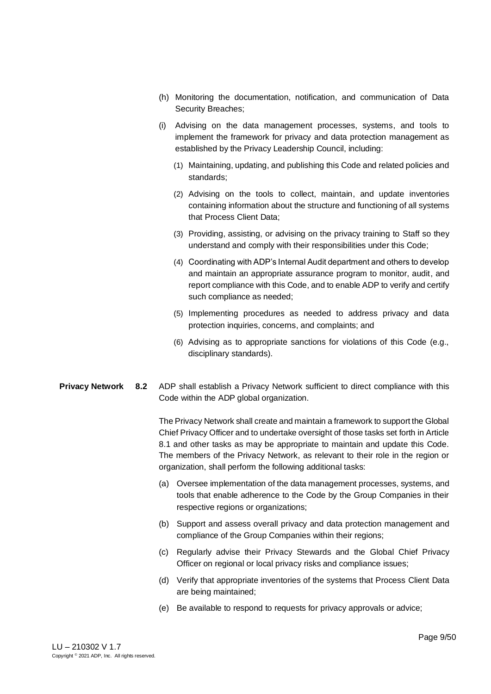- (h) Monitoring the documentation, notification, and communication of Data Security Breaches;
- (i) Advising on the data management processes, systems, and tools to implement the framework for privacy and data protection management as established by the Privacy Leadership Council, including:
	- (1) Maintaining, updating, and publishing this Code and related policies and standards;
	- (2) Advising on the tools to collect, maintain, and update inventories containing information about the structure and functioning of all systems that Process Client Data;
	- (3) Providing, assisting, or advising on the privacy training to Staff so they understand and comply with their responsibilities under this Code;
	- (4) Coordinating with ADP's Internal Audit department and others to develop and maintain an appropriate assurance program to monitor, audit, and report compliance with this Code, and to enable ADP to verify and certify such compliance as needed;
	- (5) Implementing procedures as needed to address privacy and data protection inquiries, concerns, and complaints; and
	- (6) Advising as to appropriate sanctions for violations of this Code (e.g., disciplinary standards).
- **Privacy Network 8.2** ADP shall establish a Privacy Network sufficient to direct compliance with this Code within the ADP global organization.

The Privacy Network shall create and maintain a framework to support the Global Chief Privacy Officer and to undertake oversight of those tasks set forth in Article 8.1 and other tasks as may be appropriate to maintain and update this Code. The members of the Privacy Network, as relevant to their role in the region or organization, shall perform the following additional tasks:

- (a) Oversee implementation of the data management processes, systems, and tools that enable adherence to the Code by the Group Companies in their respective regions or organizations;
- (b) Support and assess overall privacy and data protection management and compliance of the Group Companies within their regions;
- (c) Regularly advise their Privacy Stewards and the Global Chief Privacy Officer on regional or local privacy risks and compliance issues;
- (d) Verify that appropriate inventories of the systems that Process Client Data are being maintained;
- (e) Be available to respond to requests for privacy approvals or advice;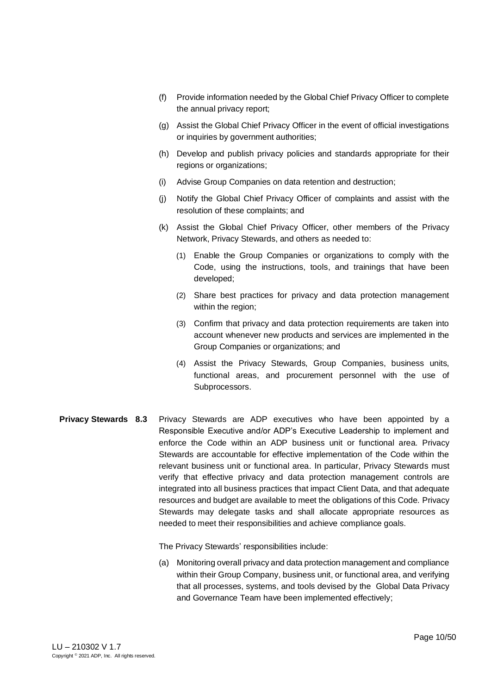- (f) Provide information needed by the Global Chief Privacy Officer to complete the annual privacy report;
- (g) Assist the Global Chief Privacy Officer in the event of official investigations or inquiries by government authorities;
- (h) Develop and publish privacy policies and standards appropriate for their regions or organizations;
- (i) Advise Group Companies on data retention and destruction;
- (j) Notify the Global Chief Privacy Officer of complaints and assist with the resolution of these complaints; and
- (k) Assist the Global Chief Privacy Officer, other members of the Privacy Network, Privacy Stewards, and others as needed to:
	- (1) Enable the Group Companies or organizations to comply with the Code, using the instructions, tools, and trainings that have been developed;
	- (2) Share best practices for privacy and data protection management within the region;
	- (3) Confirm that privacy and data protection requirements are taken into account whenever new products and services are implemented in the Group Companies or organizations; and
	- (4) Assist the Privacy Stewards, Group Companies, business units, functional areas, and procurement personnel with the use of Subprocessors.
- **Privacy Stewards 8.3** Privacy Stewards are ADP executives who have been appointed by a Responsible Executive and/or ADP's Executive Leadership to implement and enforce the Code within an ADP business unit or functional area. Privacy Stewards are accountable for effective implementation of the Code within the relevant business unit or functional area. In particular, Privacy Stewards must verify that effective privacy and data protection management controls are integrated into all business practices that impact Client Data, and that adequate resources and budget are available to meet the obligations of this Code. Privacy Stewards may delegate tasks and shall allocate appropriate resources as needed to meet their responsibilities and achieve compliance goals.

The Privacy Stewards' responsibilities include:

(a) Monitoring overall privacy and data protection management and compliance within their Group Company, business unit, or functional area, and verifying that all processes, systems, and tools devised by the Global Data Privacy and Governance Team have been implemented effectively;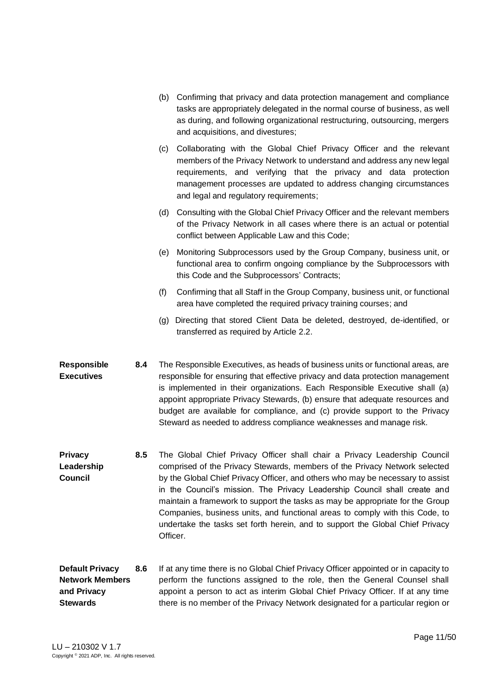(b) Confirming that privacy and data protection management and compliance tasks are appropriately delegated in the normal course of business, as well as during, and following organizational restructuring, outsourcing, mergers and acquisitions, and divestures; (c) Collaborating with the Global Chief Privacy Officer and the relevant members of the Privacy Network to understand and address any new legal requirements, and verifying that the privacy and data protection management processes are updated to address changing circumstances and legal and regulatory requirements; (d) Consulting with the Global Chief Privacy Officer and the relevant members of the Privacy Network in all cases where there is an actual or potential conflict between Applicable Law and this Code; (e) Monitoring Subprocessors used by the Group Company, business unit, or functional area to confirm ongoing compliance by the Subprocessors with this Code and the Subprocessors' Contracts; (f) Confirming that all Staff in the Group Company, business unit, or functional area have completed the required privacy training courses; and (g) Directing that stored Client Data be deleted, destroyed, de-identified, or transferred as required by Article 2.2. **Responsible Executives 8.4** The Responsible Executives, as heads of business units or functional areas, are responsible for ensuring that effective privacy and data protection management is implemented in their organizations. Each Responsible Executive shall (a) appoint appropriate Privacy Stewards, (b) ensure that adequate resources and

> budget are available for compliance, and (c) provide support to the Privacy Steward as needed to address compliance weaknesses and manage risk.

- **Privacy Leadership Council 8.5** The Global Chief Privacy Officer shall chair a Privacy Leadership Council comprised of the Privacy Stewards, members of the Privacy Network selected by the Global Chief Privacy Officer, and others who may be necessary to assist in the Council's mission. The Privacy Leadership Council shall create and maintain a framework to support the tasks as may be appropriate for the Group Companies, business units, and functional areas to comply with this Code, to undertake the tasks set forth herein, and to support the Global Chief Privacy Officer.
- **Default Privacy Network Members and Privacy Stewards 8.6** If at any time there is no Global Chief Privacy Officer appointed or in capacity to perform the functions assigned to the role, then the General Counsel shall appoint a person to act as interim Global Chief Privacy Officer. If at any time there is no member of the Privacy Network designated for a particular region or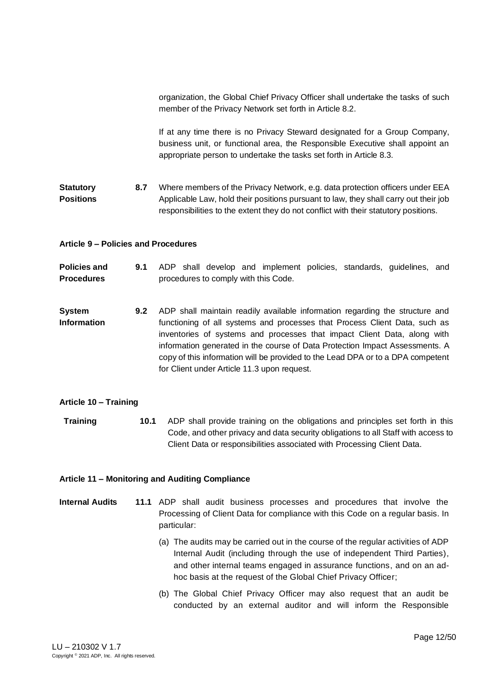organization, the Global Chief Privacy Officer shall undertake the tasks of such member of the Privacy Network set forth in Article 8.2.

If at any time there is no Privacy Steward designated for a Group Company, business unit, or functional area, the Responsible Executive shall appoint an appropriate person to undertake the tasks set forth in Article 8.3.

**Statutory Positions 8.7** Where members of the Privacy Network, e.g. data protection officers under EEA Applicable Law, hold their positions pursuant to law, they shall carry out their job responsibilities to the extent they do not conflict with their statutory positions.

# <span id="page-11-0"></span>**Article 9 – Policies and Procedures**

**Policies and Procedures 9.1** ADP shall develop and implement policies, standards, guidelines, and procedures to comply with this Code.

**System Information 9.2** ADP shall maintain readily available information regarding the structure and functioning of all systems and processes that Process Client Data, such as inventories of systems and processes that impact Client Data, along with information generated in the course of Data Protection Impact Assessments. A copy of this information will be provided to the Lead DPA or to a DPA competent for Client under Article 11.3 upon request.

#### <span id="page-11-1"></span>**Article 10 – Training**

**Training 10.1** ADP shall provide training on the obligations and principles set forth in this Code, and other privacy and data security obligations to all Staff with access to Client Data or responsibilities associated with Processing Client Data.

#### <span id="page-11-2"></span>**Article 11 – Monitoring and Auditing Compliance**

- **Internal Audits 11.1** ADP shall audit business processes and procedures that involve the Processing of Client Data for compliance with this Code on a regular basis. In particular:
	- (a) The audits may be carried out in the course of the regular activities of ADP Internal Audit (including through the use of independent Third Parties), and other internal teams engaged in assurance functions, and on an adhoc basis at the request of the Global Chief Privacy Officer;
	- (b) The Global Chief Privacy Officer may also request that an audit be conducted by an external auditor and will inform the Responsible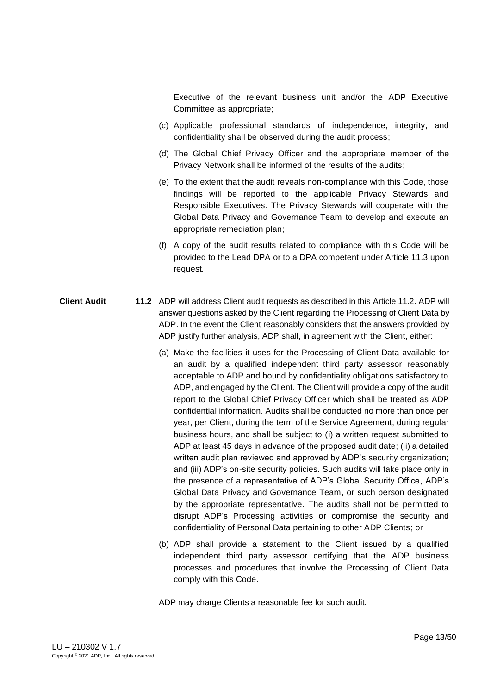Executive of the relevant business unit and/or the ADP Executive Committee as appropriate;

- (c) Applicable professional standards of independence, integrity, and confidentiality shall be observed during the audit process;
- (d) The Global Chief Privacy Officer and the appropriate member of the Privacy Network shall be informed of the results of the audits;
- (e) To the extent that the audit reveals non-compliance with this Code, those findings will be reported to the applicable Privacy Stewards and Responsible Executives. The Privacy Stewards will cooperate with the Global Data Privacy and Governance Team to develop and execute an appropriate remediation plan;
- (f) A copy of the audit results related to compliance with this Code will be provided to the Lead DPA or to a DPA competent under Article 11.3 upon request*.*
- **Client Audit 11.2** ADP will address Client audit requests as described in this Article 11.2. ADP will answer questions asked by the Client regarding the Processing of Client Data by ADP. In the event the Client reasonably considers that the answers provided by ADP justify further analysis, ADP shall, in agreement with the Client, either:
	- (a) Make the facilities it uses for the Processing of Client Data available for an audit by a qualified independent third party assessor reasonably acceptable to ADP and bound by confidentiality obligations satisfactory to ADP, and engaged by the Client. The Client will provide a copy of the audit report to the Global Chief Privacy Officer which shall be treated as ADP confidential information. Audits shall be conducted no more than once per year, per Client, during the term of the Service Agreement, during regular business hours, and shall be subject to (i) a written request submitted to ADP at least 45 days in advance of the proposed audit date; (ii) a detailed written audit plan reviewed and approved by ADP's security organization; and (iii) ADP's on-site security policies. Such audits will take place only in the presence of a representative of ADP's Global Security Office, ADP's Global Data Privacy and Governance Team, or such person designated by the appropriate representative. The audits shall not be permitted to disrupt ADP's Processing activities or compromise the security and confidentiality of Personal Data pertaining to other ADP Clients; or
	- (b) ADP shall provide a statement to the Client issued by a qualified independent third party assessor certifying that the ADP business processes and procedures that involve the Processing of Client Data comply with this Code.

ADP may charge Clients a reasonable fee for such audit.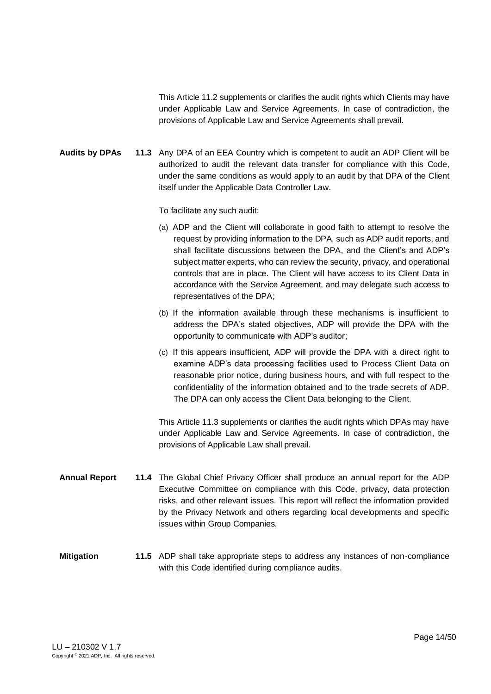This Article 11.2 supplements or clarifies the audit rights which Clients may have under Applicable Law and Service Agreements. In case of contradiction, the provisions of Applicable Law and Service Agreements shall prevail.

**Audits by DPAs 11.3** Any DPA of an EEA Country which is competent to audit an ADP Client will be authorized to audit the relevant data transfer for compliance with this Code, under the same conditions as would apply to an audit by that DPA of the Client itself under the Applicable Data Controller Law.

To facilitate any such audit:

- (a) ADP and the Client will collaborate in good faith to attempt to resolve the request by providing information to the DPA, such as ADP audit reports, and shall facilitate discussions between the DPA, and the Client's and ADP's subject matter experts, who can review the security, privacy, and operational controls that are in place. The Client will have access to its Client Data in accordance with the Service Agreement, and may delegate such access to representatives of the DPA;
- (b) If the information available through these mechanisms is insufficient to address the DPA's stated objectives, ADP will provide the DPA with the opportunity to communicate with ADP's auditor;
- (c) If this appears insufficient, ADP will provide the DPA with a direct right to examine ADP's data processing facilities used to Process Client Data on reasonable prior notice, during business hours, and with full respect to the confidentiality of the information obtained and to the trade secrets of ADP. The DPA can only access the Client Data belonging to the Client.

This Article 11.3 supplements or clarifies the audit rights which DPAs may have under Applicable Law and Service Agreements. In case of contradiction, the provisions of Applicable Law shall prevail.

**Annual Report 11.4** The Global Chief Privacy Officer shall produce an annual report for the ADP Executive Committee on compliance with this Code, privacy, data protection risks, and other relevant issues. This report will reflect the information provided by the Privacy Network and others regarding local developments and specific issues within Group Companies.

# **Mitigation 11.5** ADP shall take appropriate steps to address any instances of non-compliance with this Code identified during compliance audits.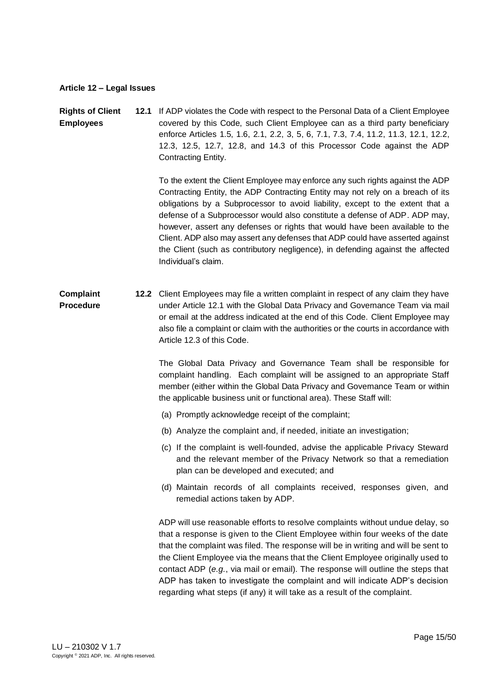#### <span id="page-14-0"></span>**Article 12 – Legal Issues**

#### **Rights of Client Employees 12.1** If ADP violates the Code with respect to the Personal Data of a Client Employee covered by this Code, such Client Employee can as a third party beneficiary enforce Articles 1.5, 1.6, 2.1, 2.2, 3, 5, 6, 7.1, 7.3, 7.4, 11.2, 11.3, 12.1, 12.2, 12.3, 12.5, 12.7, 12.8, and 14.3 of this Processor Code against the ADP Contracting Entity.

To the extent the Client Employee may enforce any such rights against the ADP Contracting Entity, the ADP Contracting Entity may not rely on a breach of its obligations by a Subprocessor to avoid liability, except to the extent that a defense of a Subprocessor would also constitute a defense of ADP. ADP may, however, assert any defenses or rights that would have been available to the Client. ADP also may assert any defenses that ADP could have asserted against the Client (such as contributory negligence), in defending against the affected Individual's claim.

#### **Complaint Procedure 12.2** Client Employees may file a written complaint in respect of any claim they have under Article 12.1 with the Global Data Privacy and Governance Team via mail or email at the address indicated at the end of this Code. Client Employee may also file a complaint or claim with the authorities or the courts in accordance with Article 12.3 of this Code.

The Global Data Privacy and Governance Team shall be responsible for complaint handling. Each complaint will be assigned to an appropriate Staff member (either within the Global Data Privacy and Governance Team or within the applicable business unit or functional area). These Staff will:

- (a) Promptly acknowledge receipt of the complaint;
- (b) Analyze the complaint and, if needed, initiate an investigation;
- (c) If the complaint is well-founded, advise the applicable Privacy Steward and the relevant member of the Privacy Network so that a remediation plan can be developed and executed; and
- (d) Maintain records of all complaints received, responses given, and remedial actions taken by ADP.

ADP will use reasonable efforts to resolve complaints without undue delay, so that a response is given to the Client Employee within four weeks of the date that the complaint was filed. The response will be in writing and will be sent to the Client Employee via the means that the Client Employee originally used to contact ADP (*e.g.*, via mail or email). The response will outline the steps that ADP has taken to investigate the complaint and will indicate ADP's decision regarding what steps (if any) it will take as a result of the complaint.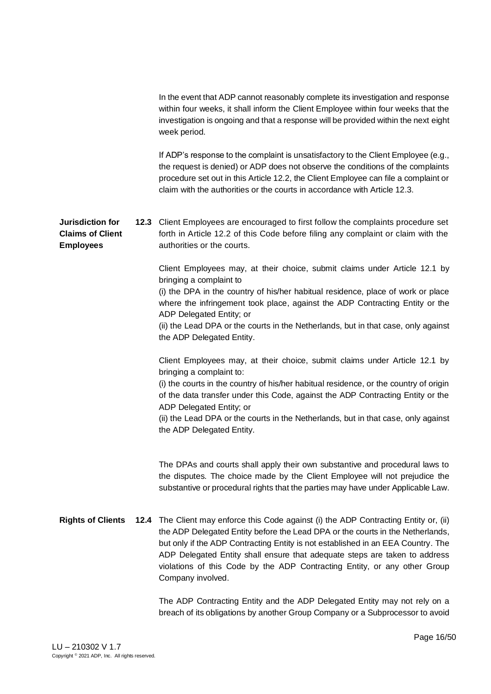In the event that ADP cannot reasonably complete its investigation and response within four weeks, it shall inform the Client Employee within four weeks that the investigation is ongoing and that a response will be provided within the next eight week period.

If ADP's response to the complaint is unsatisfactory to the Client Employee (e.g., the request is denied) or ADP does not observe the conditions of the complaints procedure set out in this Article 12.2, the Client Employee can file a complaint or claim with the authorities or the courts in accordance with Article 12.3.

**Jurisdiction for Claims of Client Employees 12.3** Client Employees are encouraged to first follow the complaints procedure set forth in Article 12.2 of this Code before filing any complaint or claim with the authorities or the courts.

> Client Employees may, at their choice, submit claims under Article 12.1 by bringing a complaint to

> (i) the DPA in the country of his/her habitual residence, place of work or place where the infringement took place, against the ADP Contracting Entity or the ADP Delegated Entity; or

> (ii) the Lead DPA or the courts in the Netherlands, but in that case, only against the ADP Delegated Entity.

> Client Employees may, at their choice, submit claims under Article 12.1 by bringing a complaint to:

> (i) the courts in the country of his/her habitual residence, or the country of origin of the data transfer under this Code, against the ADP Contracting Entity or the ADP Delegated Entity; or

> (ii) the Lead DPA or the courts in the Netherlands, but in that case, only against the ADP Delegated Entity.

> The DPAs and courts shall apply their own substantive and procedural laws to the disputes. The choice made by the Client Employee will not prejudice the substantive or procedural rights that the parties may have under Applicable Law.

**Rights of Clients 12.4** The Client may enforce this Code against (i) the ADP Contracting Entity or, (ii) the ADP Delegated Entity before the Lead DPA or the courts in the Netherlands, but only if the ADP Contracting Entity is not established in an EEA Country. The ADP Delegated Entity shall ensure that adequate steps are taken to address violations of this Code by the ADP Contracting Entity, or any other Group Company involved.

> The ADP Contracting Entity and the ADP Delegated Entity may not rely on a breach of its obligations by another Group Company or a Subprocessor to avoid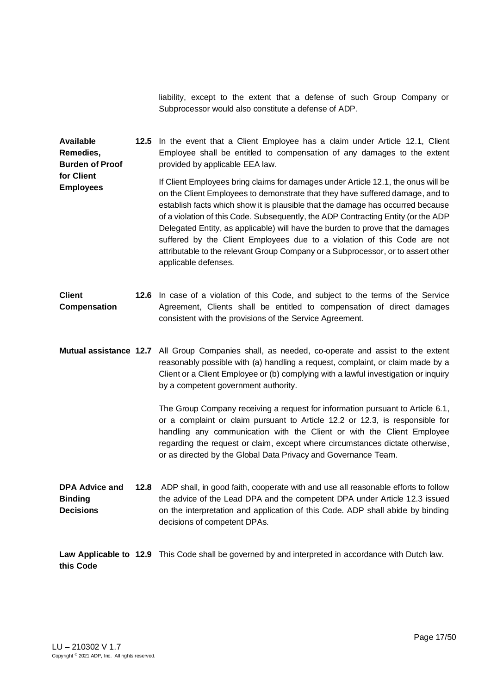liability, except to the extent that a defense of such Group Company or Subprocessor would also constitute a defense of ADP.

**Available Remedies, Burden of Proof for Client Employees 12.5** In the event that a Client Employee has a claim under Article 12.1, Client Employee shall be entitled to compensation of any damages to the extent provided by applicable EEA law. If Client Employees bring claims for damages under Article 12.1, the onus will be on the Client Employees to demonstrate that they have suffered damage, and to establish facts which show it is plausible that the damage has occurred because of a violation of this Code. Subsequently, the ADP Contracting Entity (or the ADP Delegated Entity, as applicable) will have the burden to prove that the damages suffered by the Client Employees due to a violation of this Code are not attributable to the relevant Group Company or a Subprocessor, or to assert other applicable defenses.

- **Client Compensation 12.6** In case of a violation of this Code, and subject to the terms of the Service Agreement, Clients shall be entitled to compensation of direct damages consistent with the provisions of the Service Agreement.
- **Mutual assistance 12.7** All Group Companies shall, as needed, co-operate and assist to the extent reasonably possible with (a) handling a request, complaint, or claim made by a Client or a Client Employee or (b) complying with a lawful investigation or inquiry by a competent government authority.

The Group Company receiving a request for information pursuant to Article 6.1, or a complaint or claim pursuant to Article 12.2 or 12.3, is responsible for handling any communication with the Client or with the Client Employee regarding the request or claim, except where circumstances dictate otherwise, or as directed by the Global Data Privacy and Governance Team.

**DPA Advice and Binding Decisions 12.8** ADP shall, in good faith, cooperate with and use all reasonable efforts to follow the advice of the Lead DPA and the competent DPA under Article 12.3 issued on the interpretation and application of this Code. ADP shall abide by binding decisions of competent DPAs.

**Law Applicable to 12.9** This Code shall be governed by and interpreted in accordance with Dutch law.**this Code**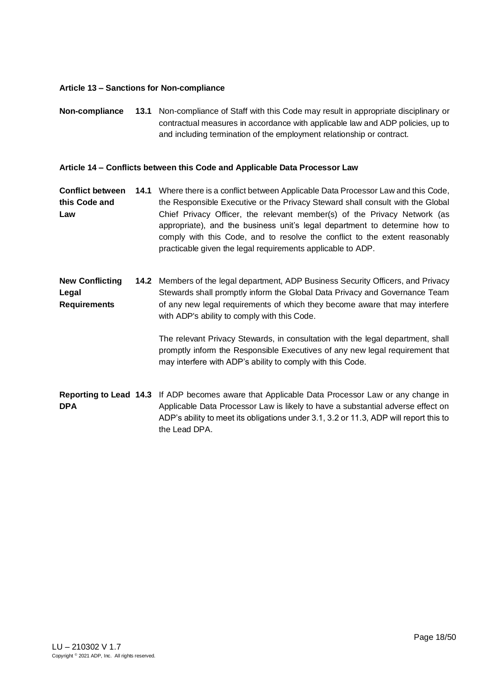### <span id="page-17-0"></span>**Article 13 – Sanctions for Non-compliance**

**Non-compliance 13.1** Non-compliance of Staff with this Code may result in appropriate disciplinary or contractual measures in accordance with applicable law and ADP policies, up to and including termination of the employment relationship or contract.

## <span id="page-17-1"></span>**Article 14 – Conflicts between this Code and Applicable Data Processor Law**

**Conflict between 14.1** Where there is a conflict between Applicable Data Processor Law and this Code, **this Code and Law** the Responsible Executive or the Privacy Steward shall consult with the Global Chief Privacy Officer, the relevant member(s) of the Privacy Network (as appropriate), and the business unit's legal department to determine how to comply with this Code, and to resolve the conflict to the extent reasonably practicable given the legal requirements applicable to ADP.

**New Conflicting Legal Requirements 14.2** Members of the legal department, ADP Business Security Officers, and Privacy Stewards shall promptly inform the Global Data Privacy and Governance Team of any new legal requirements of which they become aware that may interfere with ADP's ability to comply with this Code.

> The relevant Privacy Stewards, in consultation with the legal department, shall promptly inform the Responsible Executives of any new legal requirement that may interfere with ADP's ability to comply with this Code.

**Reporting to Lead 14.3** If ADP becomes aware that Applicable Data Processor Law or any change in **DPA** Applicable Data Processor Law is likely to have a substantial adverse effect on ADP's ability to meet its obligations under 3.1, 3.2 or 11.3, ADP will report this to the Lead DPA.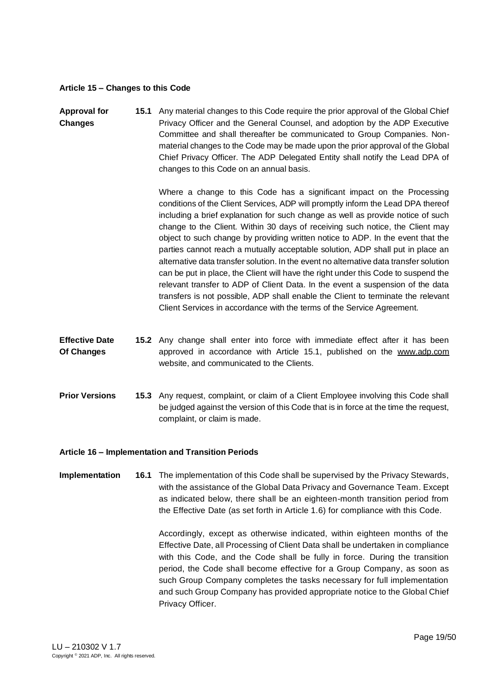#### <span id="page-18-0"></span>**Article 15 – Changes to this Code**

**Approval for Changes 15.1** Any material changes to this Code require the prior approval of the Global Chief Privacy Officer and the General Counsel, and adoption by the ADP Executive Committee and shall thereafter be communicated to Group Companies. Nonmaterial changes to the Code may be made upon the prior approval of the Global Chief Privacy Officer. The ADP Delegated Entity shall notify the Lead DPA of changes to this Code on an annual basis.

> Where a change to this Code has a significant impact on the Processing conditions of the Client Services, ADP will promptly inform the Lead DPA thereof including a brief explanation for such change as well as provide notice of such change to the Client. Within 30 days of receiving such notice, the Client may object to such change by providing written notice to ADP. In the event that the parties cannot reach a mutually acceptable solution, ADP shall put in place an alternative data transfer solution. In the event no alternative data transfer solution can be put in place, the Client will have the right under this Code to suspend the relevant transfer to ADP of Client Data. In the event a suspension of the data transfers is not possible, ADP shall enable the Client to terminate the relevant Client Services in accordance with the terms of the Service Agreement.

- **Effective Date Of Changes 15.2** Any change shall enter into force with immediate effect after it has been approved in accordance with Article 15.1, published on the [www.adp.com](http://www.adp.com/) website, and communicated to the Clients.
- **Prior Versions 15.3** Any request, complaint, or claim of a Client Employee involving this Code shall be judged against the version of this Code that is in force at the time the request, complaint, or claim is made.

### <span id="page-18-1"></span>**Article 16 – Implementation and Transition Periods**

**Implementation 16.1** The implementation of this Code shall be supervised by the Privacy Stewards, with the assistance of the Global Data Privacy and Governance Team. Except as indicated below, there shall be an eighteen-month transition period from the Effective Date (as set forth in Article 1.6) for compliance with this Code.

> Accordingly, except as otherwise indicated, within eighteen months of the Effective Date, all Processing of Client Data shall be undertaken in compliance with this Code, and the Code shall be fully in force. During the transition period, the Code shall become effective for a Group Company, as soon as such Group Company completes the tasks necessary for full implementation and such Group Company has provided appropriate notice to the Global Chief Privacy Officer.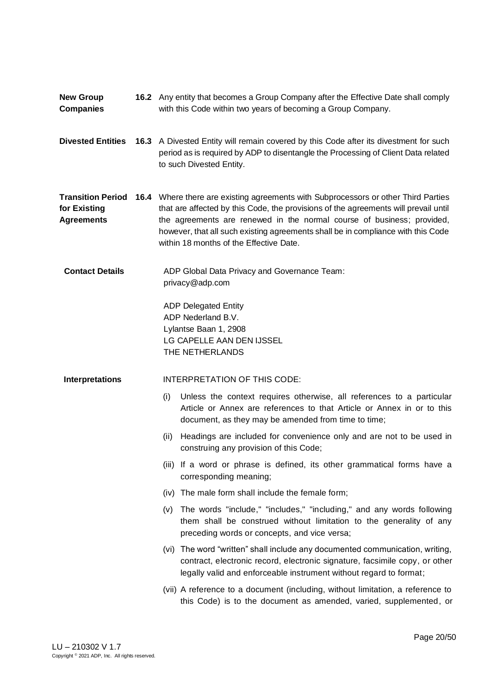- **New Group Companies 16.2** Any entity that becomes a Group Company after the Effective Date shall comply with this Code within two years of becoming a Group Company.
- **Divested Entities 16.3** A Divested Entity will remain covered by this Code after its divestment for such period as is required by ADP to disentangle the Processing of Client Data related to such Divested Entity.

**Transition Period 16.4** Where there are existing agreements with Subprocessors or other Third Parties **for Existing Agreements** that are affected by this Code, the provisions of the agreements will prevail until the agreements are renewed in the normal course of business; provided, however, that all such existing agreements shall be in compliance with this Code within 18 months of the Effective Date.

**Contact Details** ADP Global Data Privacy and Governance Team: privacy@adp.com

> ADP Delegated Entity ADP Nederland B.V. Lylantse Baan 1, 2908 LG CAPELLE AAN DEN IJSSEL THE NETHERLANDS

### **Interpretations** INTERPRETATION OF THIS CODE:

- (i) Unless the context requires otherwise, all references to a particular Article or Annex are references to that Article or Annex in or to this document, as they may be amended from time to time;
- (ii) Headings are included for convenience only and are not to be used in construing any provision of this Code;
- (iii) If a word or phrase is defined, its other grammatical forms have a corresponding meaning;
- (iv) The male form shall include the female form;
- (v) The words "include," "includes," "including," and any words following them shall be construed without limitation to the generality of any preceding words or concepts, and vice versa;
- (vi) The word "written" shall include any documented communication, writing, contract, electronic record, electronic signature, facsimile copy, or other legally valid and enforceable instrument without regard to format;
- (vii) A reference to a document (including, without limitation, a reference to this Code) is to the document as amended, varied, supplemented, or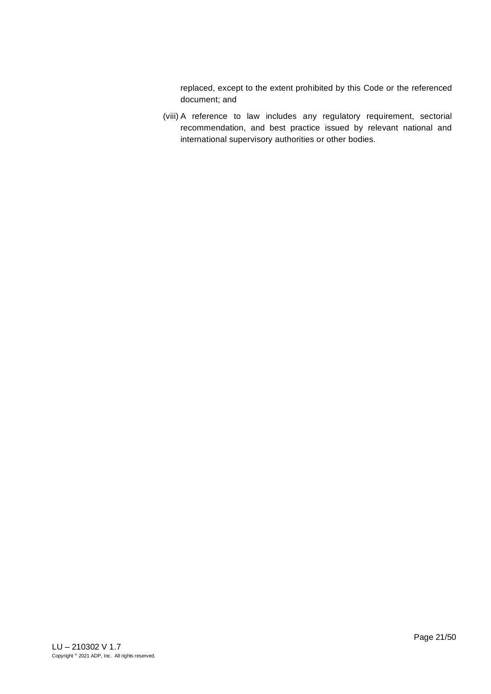replaced, except to the extent prohibited by this Code or the referenced document; and

(viii) A reference to law includes any regulatory requirement, sectorial recommendation, and best practice issued by relevant national and international supervisory authorities or other bodies.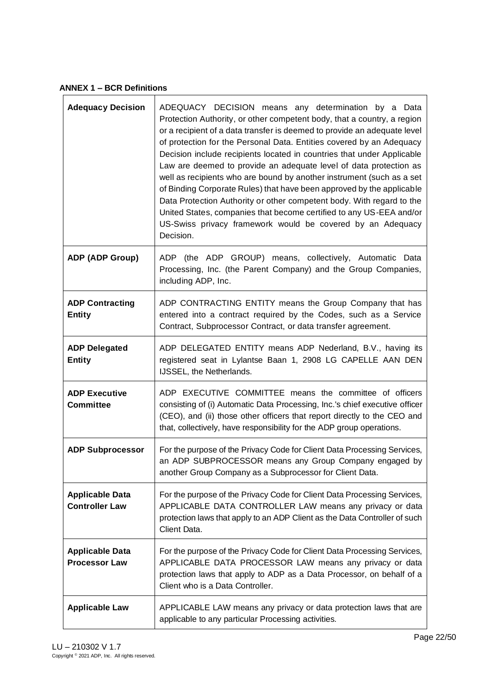<span id="page-21-0"></span>**ANNEX 1 – BCR Definitions**

| <b>Adequacy Decision</b>                        | ADEQUACY DECISION means any determination by a Data<br>Protection Authority, or other competent body, that a country, a region<br>or a recipient of a data transfer is deemed to provide an adequate level<br>of protection for the Personal Data. Entities covered by an Adequacy<br>Decision include recipients located in countries that under Applicable<br>Law are deemed to provide an adequate level of data protection as<br>well as recipients who are bound by another instrument (such as a set<br>of Binding Corporate Rules) that have been approved by the applicable<br>Data Protection Authority or other competent body. With regard to the<br>United States, companies that become certified to any US-EEA and/or<br>US-Swiss privacy framework would be covered by an Adequacy<br>Decision. |
|-------------------------------------------------|----------------------------------------------------------------------------------------------------------------------------------------------------------------------------------------------------------------------------------------------------------------------------------------------------------------------------------------------------------------------------------------------------------------------------------------------------------------------------------------------------------------------------------------------------------------------------------------------------------------------------------------------------------------------------------------------------------------------------------------------------------------------------------------------------------------|
| ADP (ADP Group)                                 | ADP (the ADP GROUP) means, collectively, Automatic Data<br>Processing, Inc. (the Parent Company) and the Group Companies,<br>including ADP, Inc.                                                                                                                                                                                                                                                                                                                                                                                                                                                                                                                                                                                                                                                               |
| <b>ADP Contracting</b><br><b>Entity</b>         | ADP CONTRACTING ENTITY means the Group Company that has<br>entered into a contract required by the Codes, such as a Service<br>Contract, Subprocessor Contract, or data transfer agreement.                                                                                                                                                                                                                                                                                                                                                                                                                                                                                                                                                                                                                    |
| <b>ADP Delegated</b><br><b>Entity</b>           | ADP DELEGATED ENTITY means ADP Nederland, B.V., having its<br>registered seat in Lylantse Baan 1, 2908 LG CAPELLE AAN DEN<br>IJSSEL, the Netherlands.                                                                                                                                                                                                                                                                                                                                                                                                                                                                                                                                                                                                                                                          |
| <b>ADP Executive</b><br><b>Committee</b>        | ADP EXECUTIVE COMMITTEE means the committee of officers<br>consisting of (i) Automatic Data Processing, Inc.'s chief executive officer<br>(CEO), and (ii) those other officers that report directly to the CEO and<br>that, collectively, have responsibility for the ADP group operations.                                                                                                                                                                                                                                                                                                                                                                                                                                                                                                                    |
| <b>ADP Subprocessor</b>                         | For the purpose of the Privacy Code for Client Data Processing Services,<br>an ADP SUBPROCESSOR means any Group Company engaged by<br>another Group Company as a Subprocessor for Client Data.                                                                                                                                                                                                                                                                                                                                                                                                                                                                                                                                                                                                                 |
| <b>Applicable Data</b><br><b>Controller Law</b> | For the purpose of the Privacy Code for Client Data Processing Services,<br>APPLICABLE DATA CONTROLLER LAW means any privacy or data<br>protection laws that apply to an ADP Client as the Data Controller of such<br>Client Data.                                                                                                                                                                                                                                                                                                                                                                                                                                                                                                                                                                             |
| <b>Applicable Data</b><br><b>Processor Law</b>  | For the purpose of the Privacy Code for Client Data Processing Services,<br>APPLICABLE DATA PROCESSOR LAW means any privacy or data<br>protection laws that apply to ADP as a Data Processor, on behalf of a<br>Client who is a Data Controller.                                                                                                                                                                                                                                                                                                                                                                                                                                                                                                                                                               |
| <b>Applicable Law</b>                           | APPLICABLE LAW means any privacy or data protection laws that are<br>applicable to any particular Processing activities.                                                                                                                                                                                                                                                                                                                                                                                                                                                                                                                                                                                                                                                                                       |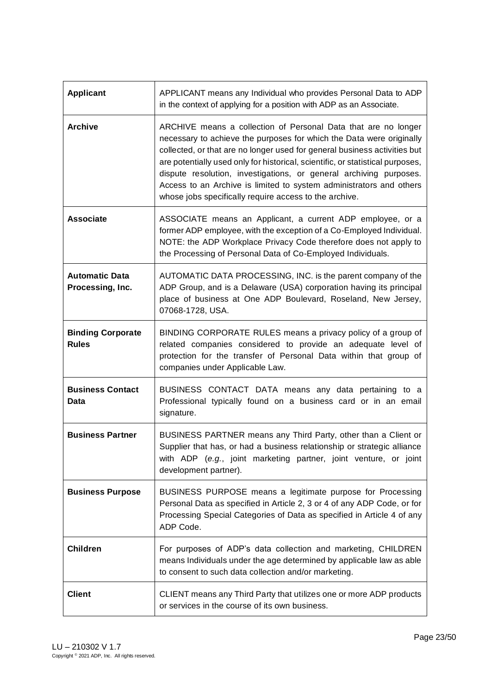| <b>Applicant</b>                          | APPLICANT means any Individual who provides Personal Data to ADP<br>in the context of applying for a position with ADP as an Associate.                                                                                                                                                                                                                                                                                                                                                                      |
|-------------------------------------------|--------------------------------------------------------------------------------------------------------------------------------------------------------------------------------------------------------------------------------------------------------------------------------------------------------------------------------------------------------------------------------------------------------------------------------------------------------------------------------------------------------------|
| <b>Archive</b>                            | ARCHIVE means a collection of Personal Data that are no longer<br>necessary to achieve the purposes for which the Data were originally<br>collected, or that are no longer used for general business activities but<br>are potentially used only for historical, scientific, or statistical purposes,<br>dispute resolution, investigations, or general archiving purposes.<br>Access to an Archive is limited to system administrators and others<br>whose jobs specifically require access to the archive. |
| <b>Associate</b>                          | ASSOCIATE means an Applicant, a current ADP employee, or a<br>former ADP employee, with the exception of a Co-Employed Individual.<br>NOTE: the ADP Workplace Privacy Code therefore does not apply to<br>the Processing of Personal Data of Co-Employed Individuals.                                                                                                                                                                                                                                        |
| <b>Automatic Data</b><br>Processing, Inc. | AUTOMATIC DATA PROCESSING, INC. is the parent company of the<br>ADP Group, and is a Delaware (USA) corporation having its principal<br>place of business at One ADP Boulevard, Roseland, New Jersey,<br>07068-1728, USA.                                                                                                                                                                                                                                                                                     |
| <b>Binding Corporate</b><br><b>Rules</b>  | BINDING CORPORATE RULES means a privacy policy of a group of<br>related companies considered to provide an adequate level of<br>protection for the transfer of Personal Data within that group of<br>companies under Applicable Law.                                                                                                                                                                                                                                                                         |
| <b>Business Contact</b><br>Data           | BUSINESS CONTACT DATA means any data pertaining to a<br>Professional typically found on a business card or in an email<br>signature.                                                                                                                                                                                                                                                                                                                                                                         |
| <b>Business Partner</b>                   | BUSINESS PARTNER means any Third Party, other than a Client or<br>Supplier that has, or had a business relationship or strategic alliance<br>with ADP (e.g., joint marketing partner, joint venture, or joint<br>development partner).                                                                                                                                                                                                                                                                       |
| <b>Business Purpose</b>                   | BUSINESS PURPOSE means a legitimate purpose for Processing<br>Personal Data as specified in Article 2, 3 or 4 of any ADP Code, or for<br>Processing Special Categories of Data as specified in Article 4 of any<br>ADP Code.                                                                                                                                                                                                                                                                                 |
| <b>Children</b>                           | For purposes of ADP's data collection and marketing, CHILDREN<br>means Individuals under the age determined by applicable law as able<br>to consent to such data collection and/or marketing.                                                                                                                                                                                                                                                                                                                |
| <b>Client</b>                             | CLIENT means any Third Party that utilizes one or more ADP products<br>or services in the course of its own business.                                                                                                                                                                                                                                                                                                                                                                                        |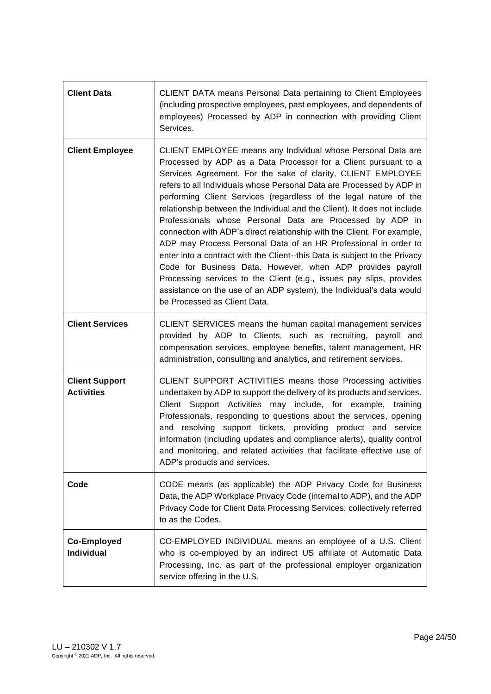| <b>Client Data</b>                         | CLIENT DATA means Personal Data pertaining to Client Employees<br>(including prospective employees, past employees, and dependents of<br>employees) Processed by ADP in connection with providing Client<br>Services.                                                                                                                                                                                                                                                                                                                                                                                                                                                                                                                                                                                                                                                                                                                                           |
|--------------------------------------------|-----------------------------------------------------------------------------------------------------------------------------------------------------------------------------------------------------------------------------------------------------------------------------------------------------------------------------------------------------------------------------------------------------------------------------------------------------------------------------------------------------------------------------------------------------------------------------------------------------------------------------------------------------------------------------------------------------------------------------------------------------------------------------------------------------------------------------------------------------------------------------------------------------------------------------------------------------------------|
| <b>Client Employee</b>                     | CLIENT EMPLOYEE means any Individual whose Personal Data are<br>Processed by ADP as a Data Processor for a Client pursuant to a<br>Services Agreement. For the sake of clarity, CLIENT EMPLOYEE<br>refers to all Individuals whose Personal Data are Processed by ADP in<br>performing Client Services (regardless of the legal nature of the<br>relationship between the Individual and the Client). It does not include<br>Professionals whose Personal Data are Processed by ADP in<br>connection with ADP's direct relationship with the Client. For example,<br>ADP may Process Personal Data of an HR Professional in order to<br>enter into a contract with the Client--this Data is subject to the Privacy<br>Code for Business Data. However, when ADP provides payroll<br>Processing services to the Client (e.g., issues pay slips, provides<br>assistance on the use of an ADP system), the Individual's data would<br>be Processed as Client Data. |
| <b>Client Services</b>                     | CLIENT SERVICES means the human capital management services<br>provided by ADP to Clients, such as recruiting, payroll and<br>compensation services, employee benefits, talent management, HR<br>administration, consulting and analytics, and retirement services.                                                                                                                                                                                                                                                                                                                                                                                                                                                                                                                                                                                                                                                                                             |
| <b>Client Support</b><br><b>Activities</b> | CLIENT SUPPORT ACTIVITIES means those Processing activities<br>undertaken by ADP to support the delivery of its products and services.<br>Client Support Activities may include, for example,<br>training<br>Professionals, responding to questions about the services, opening<br>and resolving support tickets, providing product and service<br>information (including updates and compliance alerts), quality control<br>and monitoring, and related activities that facilitate effective use of<br>ADP's products and services.                                                                                                                                                                                                                                                                                                                                                                                                                            |
| Code                                       | CODE means (as applicable) the ADP Privacy Code for Business<br>Data, the ADP Workplace Privacy Code (internal to ADP), and the ADP<br>Privacy Code for Client Data Processing Services; collectively referred<br>to as the Codes.                                                                                                                                                                                                                                                                                                                                                                                                                                                                                                                                                                                                                                                                                                                              |
| <b>Co-Employed</b><br>Individual           | CO-EMPLOYED INDIVIDUAL means an employee of a U.S. Client<br>who is co-employed by an indirect US affiliate of Automatic Data<br>Processing, Inc. as part of the professional employer organization<br>service offering in the U.S.                                                                                                                                                                                                                                                                                                                                                                                                                                                                                                                                                                                                                                                                                                                             |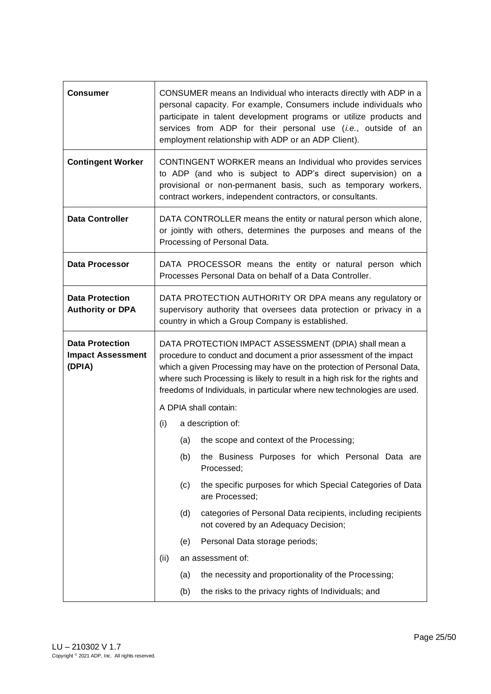| <b>Consumer</b>                                              | CONSUMER means an Individual who interacts directly with ADP in a<br>personal capacity. For example, Consumers include individuals who<br>participate in talent development programs or utilize products and<br>services from ADP for their personal use (i.e., outside of an<br>employment relationship with ADP or an ADP Client).                           |
|--------------------------------------------------------------|----------------------------------------------------------------------------------------------------------------------------------------------------------------------------------------------------------------------------------------------------------------------------------------------------------------------------------------------------------------|
| <b>Contingent Worker</b>                                     | CONTINGENT WORKER means an Individual who provides services<br>to ADP (and who is subject to ADP's direct supervision) on a<br>provisional or non-permanent basis, such as temporary workers,<br>contract workers, independent contractors, or consultants.                                                                                                    |
| <b>Data Controller</b>                                       | DATA CONTROLLER means the entity or natural person which alone,<br>or jointly with others, determines the purposes and means of the<br>Processing of Personal Data.                                                                                                                                                                                            |
| <b>Data Processor</b>                                        | DATA PROCESSOR means the entity or natural person which<br>Processes Personal Data on behalf of a Data Controller.                                                                                                                                                                                                                                             |
| <b>Data Protection</b><br><b>Authority or DPA</b>            | DATA PROTECTION AUTHORITY OR DPA means any regulatory or<br>supervisory authority that oversees data protection or privacy in a<br>country in which a Group Company is established.                                                                                                                                                                            |
| <b>Data Protection</b><br><b>Impact Assessment</b><br>(DPIA) | DATA PROTECTION IMPACT ASSESSMENT (DPIA) shall mean a<br>procedure to conduct and document a prior assessment of the impact<br>which a given Processing may have on the protection of Personal Data,<br>where such Processing is likely to result in a high risk for the rights and<br>freedoms of Individuals, in particular where new technologies are used. |
|                                                              | A DPIA shall contain:                                                                                                                                                                                                                                                                                                                                          |
|                                                              | (i)<br>a description of:                                                                                                                                                                                                                                                                                                                                       |
|                                                              | (a)<br>the scope and context of the Processing;                                                                                                                                                                                                                                                                                                                |
|                                                              | the Business Purposes for which Personal Data are<br>(b)<br>Processed;                                                                                                                                                                                                                                                                                         |
|                                                              | the specific purposes for which Special Categories of Data<br>(c)<br>are Processed;                                                                                                                                                                                                                                                                            |
|                                                              | (d)<br>categories of Personal Data recipients, including recipients<br>not covered by an Adequacy Decision;                                                                                                                                                                                                                                                    |
|                                                              | Personal Data storage periods;<br>(e)                                                                                                                                                                                                                                                                                                                          |
|                                                              | an assessment of:<br>(ii)                                                                                                                                                                                                                                                                                                                                      |
|                                                              | the necessity and proportionality of the Processing;<br>(a)                                                                                                                                                                                                                                                                                                    |
|                                                              | the risks to the privacy rights of Individuals; and<br>(b)                                                                                                                                                                                                                                                                                                     |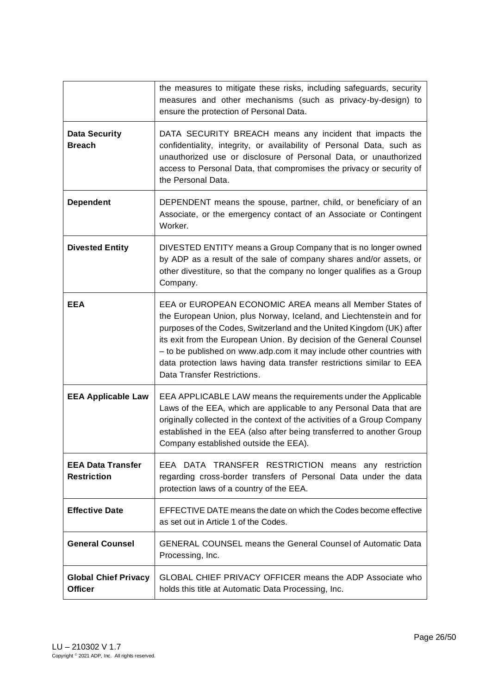|                                                | the measures to mitigate these risks, including safeguards, security<br>measures and other mechanisms (such as privacy-by-design) to<br>ensure the protection of Personal Data.                                                                                                                                                                                                                                                                                 |
|------------------------------------------------|-----------------------------------------------------------------------------------------------------------------------------------------------------------------------------------------------------------------------------------------------------------------------------------------------------------------------------------------------------------------------------------------------------------------------------------------------------------------|
| <b>Data Security</b><br><b>Breach</b>          | DATA SECURITY BREACH means any incident that impacts the<br>confidentiality, integrity, or availability of Personal Data, such as<br>unauthorized use or disclosure of Personal Data, or unauthorized<br>access to Personal Data, that compromises the privacy or security of<br>the Personal Data.                                                                                                                                                             |
| <b>Dependent</b>                               | DEPENDENT means the spouse, partner, child, or beneficiary of an<br>Associate, or the emergency contact of an Associate or Contingent<br>Worker.                                                                                                                                                                                                                                                                                                                |
| <b>Divested Entity</b>                         | DIVESTED ENTITY means a Group Company that is no longer owned<br>by ADP as a result of the sale of company shares and/or assets, or<br>other divestiture, so that the company no longer qualifies as a Group<br>Company.                                                                                                                                                                                                                                        |
| <b>EEA</b>                                     | EEA or EUROPEAN ECONOMIC AREA means all Member States of<br>the European Union, plus Norway, Iceland, and Liechtenstein and for<br>purposes of the Codes, Switzerland and the United Kingdom (UK) after<br>its exit from the European Union. By decision of the General Counsel<br>- to be published on www.adp.com it may include other countries with<br>data protection laws having data transfer restrictions similar to EEA<br>Data Transfer Restrictions. |
| <b>EEA Applicable Law</b>                      | EEA APPLICABLE LAW means the requirements under the Applicable<br>Laws of the EEA, which are applicable to any Personal Data that are<br>originally collected in the context of the activities of a Group Company<br>established in the EEA (also after being transferred to another Group<br>Company established outside the EEA).                                                                                                                             |
| <b>EEA Data Transfer</b><br><b>Restriction</b> | EEA DATA TRANSFER RESTRICTION means any restriction<br>regarding cross-border transfers of Personal Data under the data<br>protection laws of a country of the EEA.                                                                                                                                                                                                                                                                                             |
| <b>Effective Date</b>                          | EFFECTIVE DATE means the date on which the Codes become effective<br>as set out in Article 1 of the Codes.                                                                                                                                                                                                                                                                                                                                                      |
| <b>General Counsel</b>                         | <b>GENERAL COUNSEL means the General Counsel of Automatic Data</b><br>Processing, Inc.                                                                                                                                                                                                                                                                                                                                                                          |
| <b>Global Chief Privacy</b><br><b>Officer</b>  | <b>GLOBAL CHIEF PRIVACY OFFICER means the ADP Associate who</b><br>holds this title at Automatic Data Processing, Inc.                                                                                                                                                                                                                                                                                                                                          |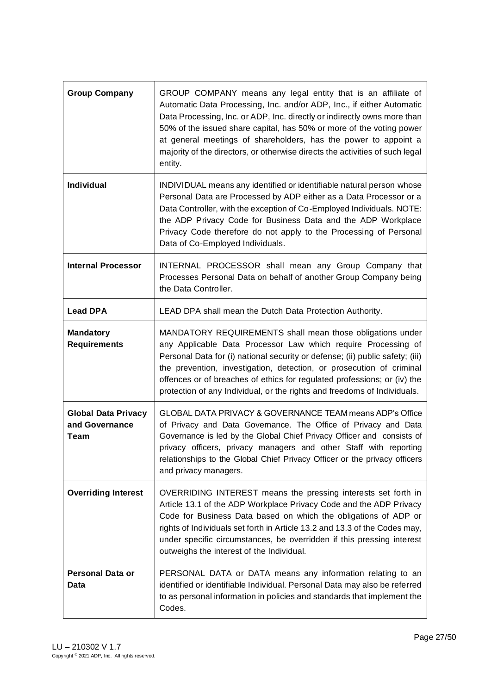| <b>Group Company</b>                                        | GROUP COMPANY means any legal entity that is an affiliate of<br>Automatic Data Processing, Inc. and/or ADP, Inc., if either Automatic<br>Data Processing, Inc. or ADP, Inc. directly or indirectly owns more than<br>50% of the issued share capital, has 50% or more of the voting power<br>at general meetings of shareholders, has the power to appoint a<br>majority of the directors, or otherwise directs the activities of such legal<br>entity. |
|-------------------------------------------------------------|---------------------------------------------------------------------------------------------------------------------------------------------------------------------------------------------------------------------------------------------------------------------------------------------------------------------------------------------------------------------------------------------------------------------------------------------------------|
| Individual                                                  | INDIVIDUAL means any identified or identifiable natural person whose<br>Personal Data are Processed by ADP either as a Data Processor or a<br>Data Controller, with the exception of Co-Employed Individuals. NOTE:<br>the ADP Privacy Code for Business Data and the ADP Workplace<br>Privacy Code therefore do not apply to the Processing of Personal<br>Data of Co-Employed Individuals.                                                            |
| <b>Internal Processor</b>                                   | INTERNAL PROCESSOR shall mean any Group Company that<br>Processes Personal Data on behalf of another Group Company being<br>the Data Controller.                                                                                                                                                                                                                                                                                                        |
| <b>Lead DPA</b>                                             | LEAD DPA shall mean the Dutch Data Protection Authority.                                                                                                                                                                                                                                                                                                                                                                                                |
| <b>Mandatory</b><br><b>Requirements</b>                     | MANDATORY REQUIREMENTS shall mean those obligations under<br>any Applicable Data Processor Law which require Processing of<br>Personal Data for (i) national security or defense; (ii) public safety; (iii)<br>the prevention, investigation, detection, or prosecution of criminal<br>offences or of breaches of ethics for regulated professions; or (iv) the<br>protection of any Individual, or the rights and freedoms of Individuals.             |
| <b>Global Data Privacy</b><br>and Governance<br><b>Team</b> | GLOBAL DATA PRIVACY & GOVERNANCE TEAM means ADP's Office<br>of Privacy and Data Governance. The Office of Privacy and Data<br>Governance is led by the Global Chief Privacy Officer and consists of<br>privacy officers, privacy managers and other Staff with reporting<br>relationships to the Global Chief Privacy Officer or the privacy officers<br>and privacy managers.                                                                          |
| <b>Overriding Interest</b>                                  | OVERRIDING INTEREST means the pressing interests set forth in<br>Article 13.1 of the ADP Workplace Privacy Code and the ADP Privacy<br>Code for Business Data based on which the obligations of ADP or<br>rights of Individuals set forth in Article 13.2 and 13.3 of the Codes may,<br>under specific circumstances, be overridden if this pressing interest<br>outweighs the interest of the Individual.                                              |
| <b>Personal Data or</b><br>Data                             | PERSONAL DATA or DATA means any information relating to an<br>identified or identifiable Individual. Personal Data may also be referred<br>to as personal information in policies and standards that implement the<br>Codes.                                                                                                                                                                                                                            |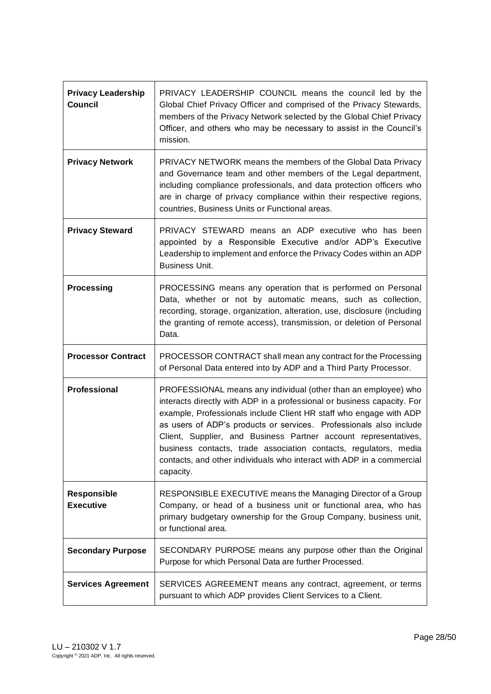| <b>Privacy Leadership</b><br><b>Council</b> | PRIVACY LEADERSHIP COUNCIL means the council led by the<br>Global Chief Privacy Officer and comprised of the Privacy Stewards,<br>members of the Privacy Network selected by the Global Chief Privacy<br>Officer, and others who may be necessary to assist in the Council's<br>mission.                                                                                                                                                                                                                           |
|---------------------------------------------|--------------------------------------------------------------------------------------------------------------------------------------------------------------------------------------------------------------------------------------------------------------------------------------------------------------------------------------------------------------------------------------------------------------------------------------------------------------------------------------------------------------------|
| <b>Privacy Network</b>                      | PRIVACY NETWORK means the members of the Global Data Privacy<br>and Governance team and other members of the Legal department,<br>including compliance professionals, and data protection officers who<br>are in charge of privacy compliance within their respective regions,<br>countries, Business Units or Functional areas.                                                                                                                                                                                   |
| <b>Privacy Steward</b>                      | PRIVACY STEWARD means an ADP executive who has been<br>appointed by a Responsible Executive and/or ADP's Executive<br>Leadership to implement and enforce the Privacy Codes within an ADP<br><b>Business Unit.</b>                                                                                                                                                                                                                                                                                                 |
| <b>Processing</b>                           | PROCESSING means any operation that is performed on Personal<br>Data, whether or not by automatic means, such as collection,<br>recording, storage, organization, alteration, use, disclosure (including<br>the granting of remote access), transmission, or deletion of Personal<br>Data.                                                                                                                                                                                                                         |
|                                             |                                                                                                                                                                                                                                                                                                                                                                                                                                                                                                                    |
| <b>Processor Contract</b>                   | PROCESSOR CONTRACT shall mean any contract for the Processing<br>of Personal Data entered into by ADP and a Third Party Processor.                                                                                                                                                                                                                                                                                                                                                                                 |
| Professional                                | PROFESSIONAL means any individual (other than an employee) who<br>interacts directly with ADP in a professional or business capacity. For<br>example, Professionals include Client HR staff who engage with ADP<br>as users of ADP's products or services. Professionals also include<br>Client, Supplier, and Business Partner account representatives,<br>business contacts, trade association contacts, regulators, media<br>contacts, and other individuals who interact with ADP in a commercial<br>capacity. |
| Responsible<br><b>Executive</b>             | RESPONSIBLE EXECUTIVE means the Managing Director of a Group<br>Company, or head of a business unit or functional area, who has<br>primary budgetary ownership for the Group Company, business unit,<br>or functional area.                                                                                                                                                                                                                                                                                        |
| <b>Secondary Purpose</b>                    | SECONDARY PURPOSE means any purpose other than the Original<br>Purpose for which Personal Data are further Processed.                                                                                                                                                                                                                                                                                                                                                                                              |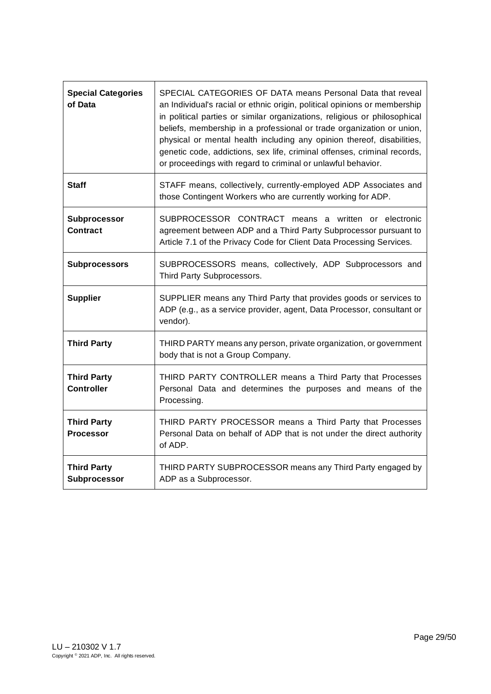| <b>Special Categories</b><br>of Data    | SPECIAL CATEGORIES OF DATA means Personal Data that reveal<br>an Individual's racial or ethnic origin, political opinions or membership<br>in political parties or similar organizations, religious or philosophical<br>beliefs, membership in a professional or trade organization or union,<br>physical or mental health including any opinion thereof, disabilities,<br>genetic code, addictions, sex life, criminal offenses, criminal records,<br>or proceedings with regard to criminal or unlawful behavior. |
|-----------------------------------------|---------------------------------------------------------------------------------------------------------------------------------------------------------------------------------------------------------------------------------------------------------------------------------------------------------------------------------------------------------------------------------------------------------------------------------------------------------------------------------------------------------------------|
| <b>Staff</b>                            | STAFF means, collectively, currently-employed ADP Associates and<br>those Contingent Workers who are currently working for ADP.                                                                                                                                                                                                                                                                                                                                                                                     |
| Subprocessor<br><b>Contract</b>         | SUBPROCESSOR CONTRACT means a written or electronic<br>agreement between ADP and a Third Party Subprocessor pursuant to<br>Article 7.1 of the Privacy Code for Client Data Processing Services.                                                                                                                                                                                                                                                                                                                     |
| <b>Subprocessors</b>                    | SUBPROCESSORS means, collectively, ADP Subprocessors and<br>Third Party Subprocessors.                                                                                                                                                                                                                                                                                                                                                                                                                              |
| <b>Supplier</b>                         | SUPPLIER means any Third Party that provides goods or services to<br>ADP (e.g., as a service provider, agent, Data Processor, consultant or<br>vendor).                                                                                                                                                                                                                                                                                                                                                             |
| <b>Third Party</b>                      | THIRD PARTY means any person, private organization, or government<br>body that is not a Group Company.                                                                                                                                                                                                                                                                                                                                                                                                              |
| <b>Third Party</b><br><b>Controller</b> | THIRD PARTY CONTROLLER means a Third Party that Processes<br>Personal Data and determines the purposes and means of the<br>Processing.                                                                                                                                                                                                                                                                                                                                                                              |
| <b>Third Party</b><br><b>Processor</b>  | THIRD PARTY PROCESSOR means a Third Party that Processes<br>Personal Data on behalf of ADP that is not under the direct authority<br>of ADP.                                                                                                                                                                                                                                                                                                                                                                        |
| <b>Third Party</b><br>Subprocessor      | THIRD PARTY SUBPROCESSOR means any Third Party engaged by<br>ADP as a Subprocessor.                                                                                                                                                                                                                                                                                                                                                                                                                                 |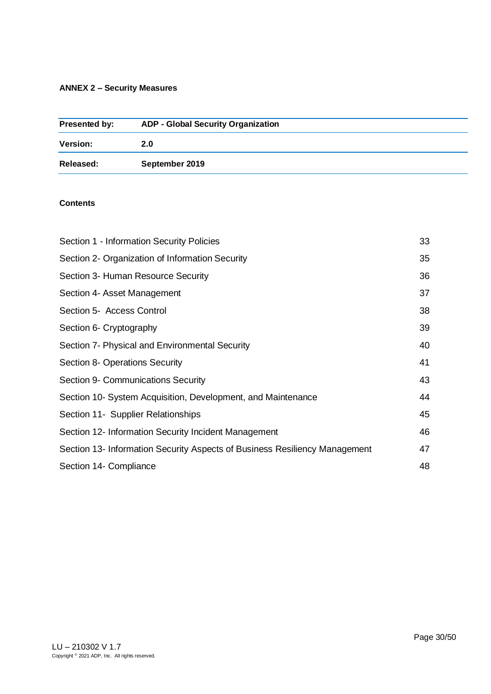# <span id="page-29-0"></span>**ANNEX 2 – Security Measures**

| Presented by:   | <b>ADP - Global Security Organization</b> |
|-----------------|-------------------------------------------|
| <b>Version:</b> | 2.0                                       |
| Released:       | September 2019                            |

# **Contents**

| Section 1 - Information Security Policies                                  | 33 |
|----------------------------------------------------------------------------|----|
| Section 2- Organization of Information Security                            | 35 |
| Section 3- Human Resource Security                                         | 36 |
| Section 4- Asset Management                                                | 37 |
| Section 5- Access Control                                                  | 38 |
| Section 6- Cryptography                                                    | 39 |
| Section 7- Physical and Environmental Security                             | 40 |
| Section 8- Operations Security                                             | 41 |
| Section 9- Communications Security                                         | 43 |
| Section 10- System Acquisition, Development, and Maintenance               | 44 |
| Section 11- Supplier Relationships                                         | 45 |
| Section 12- Information Security Incident Management                       | 46 |
| Section 13- Information Security Aspects of Business Resiliency Management | 47 |
| Section 14- Compliance                                                     | 48 |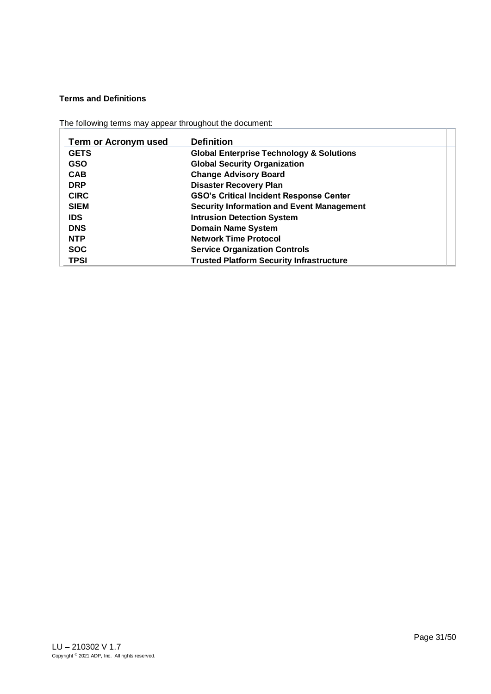# **Terms and Definitions**

|  |  |  | The following terms may appear throughout the document: |  |
|--|--|--|---------------------------------------------------------|--|
|--|--|--|---------------------------------------------------------|--|

| <b>Term or Acronym used</b> | <b>Definition</b>                                   |
|-----------------------------|-----------------------------------------------------|
| <b>GETS</b>                 | <b>Global Enterprise Technology &amp; Solutions</b> |
| <b>GSO</b>                  | <b>Global Security Organization</b>                 |
| <b>CAB</b>                  | <b>Change Advisory Board</b>                        |
| <b>DRP</b>                  | <b>Disaster Recovery Plan</b>                       |
| <b>CIRC</b>                 | <b>GSO's Critical Incident Response Center</b>      |
| <b>SIEM</b>                 | <b>Security Information and Event Management</b>    |
| <b>IDS</b>                  | <b>Intrusion Detection System</b>                   |
| <b>DNS</b>                  | <b>Domain Name System</b>                           |
| <b>NTP</b>                  | <b>Network Time Protocol</b>                        |
| <b>SOC</b>                  | <b>Service Organization Controls</b>                |
| <b>TPSI</b>                 | <b>Trusted Platform Security Infrastructure</b>     |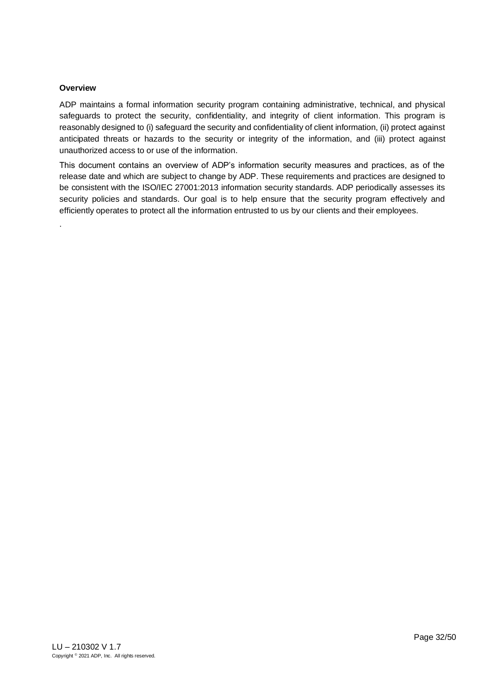# **Overview**

.

ADP maintains a formal information security program containing administrative, technical, and physical safeguards to protect the security, confidentiality, and integrity of client information. This program is reasonably designed to (i) safeguard the security and confidentiality of client information, (ii) protect against anticipated threats or hazards to the security or integrity of the information, and (iii) protect against unauthorized access to or use of the information.

This document contains an overview of ADP's information security measures and practices, as of the release date and which are subject to change by ADP. These requirements and practices are designed to be consistent with the ISO/IEC 27001:2013 information security standards. ADP periodically assesses its security policies and standards. Our goal is to help ensure that the security program effectively and efficiently operates to protect all the information entrusted to us by our clients and their employees.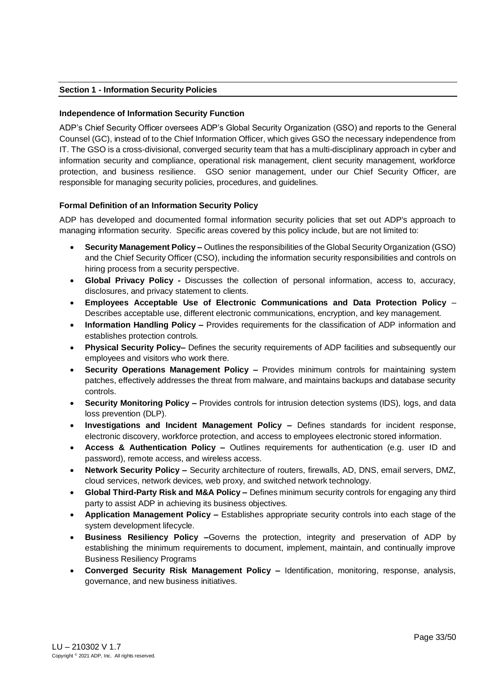# <span id="page-32-0"></span>**Section 1 - Information Security Policies**

### **Independence of Information Security Function**

ADP's Chief Security Officer oversees ADP's Global Security Organization (GSO) and reports to the General Counsel (GC), instead of to the Chief Information Officer, which gives GSO the necessary independence from IT. The GSO is a cross-divisional, converged security team that has a multi-disciplinary approach in cyber and information security and compliance, operational risk management, client security management, workforce protection, and business resilience. GSO senior management, under our Chief Security Officer, are responsible for managing security policies, procedures, and guidelines.

# **Formal Definition of an Information Security Policy**

ADP has developed and documented formal information security policies that set out ADP's approach to managing information security. Specific areas covered by this policy include, but are not limited to:

- **Security Management Policy –** Outlines the responsibilities of the Global Security Organization (GSO) and the Chief Security Officer (CSO), including the information security responsibilities and controls on hiring process from a security perspective.
- **Global Privacy Policy -** Discusses the collection of personal information, access to, accuracy, disclosures, and privacy statement to clients.
- **Employees Acceptable Use of Electronic Communications and Data Protection Policy**  Describes acceptable use, different electronic communications, encryption, and key management.
- **Information Handling Policy –** Provides requirements for the classification of ADP information and establishes protection controls.
- **Physical Security Policy–** Defines the security requirements of ADP facilities and subsequently our employees and visitors who work there.
- **Security Operations Management Policy –** Provides minimum controls for maintaining system patches, effectively addresses the threat from malware, and maintains backups and database security controls.
- **Security Monitoring Policy –** Provides controls for intrusion detection systems (IDS), logs, and data loss prevention (DLP).
- **Investigations and Incident Management Policy –** Defines standards for incident response, electronic discovery, workforce protection, and access to employees electronic stored information.
- **Access & Authentication Policy –** Outlines requirements for authentication (e.g. user ID and password), remote access, and wireless access.
- **Network Security Policy –** Security architecture of routers, firewalls, AD, DNS, email servers, DMZ, cloud services, network devices, web proxy, and switched network technology.
- **Global Third-Party Risk and M&A Policy –** Defines minimum security controls for engaging any third party to assist ADP in achieving its business objectives.
- **Application Management Policy –** Establishes appropriate security controls into each stage of the system development lifecycle.
- **Business Resiliency Policy –**Governs the protection, integrity and preservation of ADP by establishing the minimum requirements to document, implement, maintain, and continually improve Business Resiliency Programs
- **Converged Security Risk Management Policy –** Identification, monitoring, response, analysis, governance, and new business initiatives.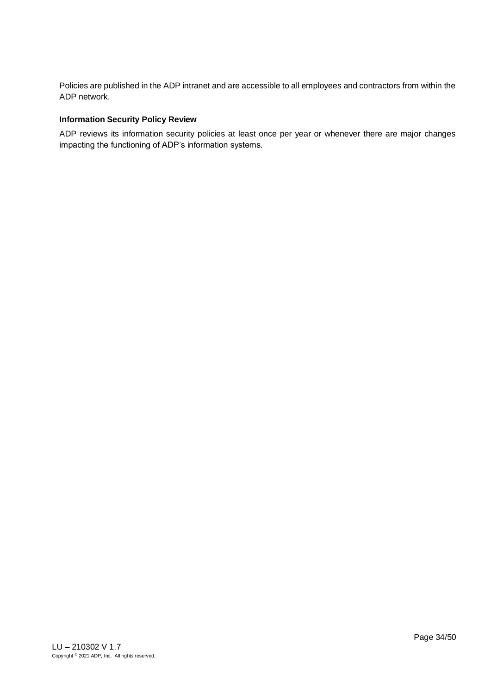Policies are published in the ADP intranet and are accessible to all employees and contractors from within the ADP network.

# **Information Security Policy Review**

ADP reviews its information security policies at least once per year or whenever there are major changes impacting the functioning of ADP's information systems.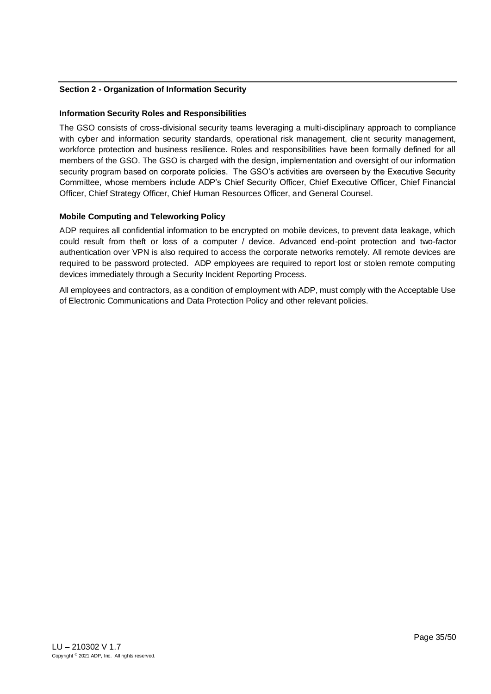# <span id="page-34-0"></span>**Section 2 - Organization of Information Security**

### **Information Security Roles and Responsibilities**

The GSO consists of cross-divisional security teams leveraging a multi-disciplinary approach to compliance with cyber and information security standards, operational risk management, client security management, workforce protection and business resilience. Roles and responsibilities have been formally defined for all members of the GSO. The GSO is charged with the design, implementation and oversight of our information security program based on corporate policies. The GSO's activities are overseen by the Executive Security Committee, whose members include ADP's Chief Security Officer, Chief Executive Officer, Chief Financial Officer, Chief Strategy Officer, Chief Human Resources Officer, and General Counsel.

# **Mobile Computing and Teleworking Policy**

ADP requires all confidential information to be encrypted on mobile devices, to prevent data leakage, which could result from theft or loss of a computer / device. Advanced end-point protection and two-factor authentication over VPN is also required to access the corporate networks remotely. All remote devices are required to be password protected. ADP employees are required to report lost or stolen remote computing devices immediately through a Security Incident Reporting Process.

All employees and contractors, as a condition of employment with ADP, must comply with the Acceptable Use of Electronic Communications and Data Protection Policy and other relevant policies.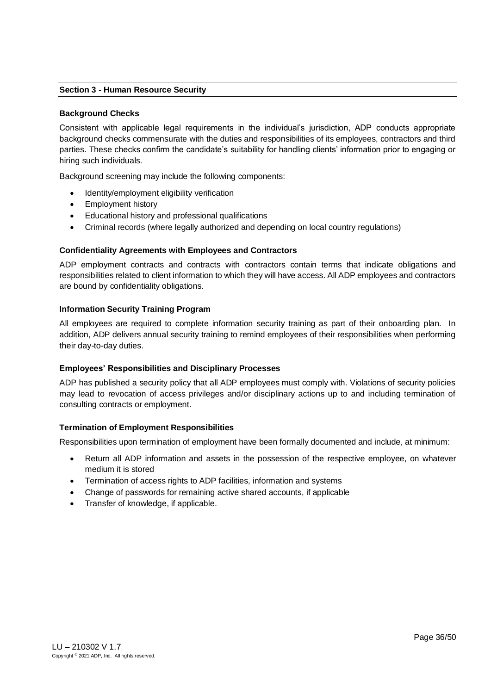# <span id="page-35-0"></span>**Section 3 - Human Resource Security**

#### **Background Checks**

Consistent with applicable legal requirements in the individual's jurisdiction, ADP conducts appropriate background checks commensurate with the duties and responsibilities of its employees, contractors and third parties. These checks confirm the candidate's suitability for handling clients' information prior to engaging or hiring such individuals.

Background screening may include the following components:

- Identity/employment eligibility verification
- Employment history
- Educational history and professional qualifications
- Criminal records (where legally authorized and depending on local country regulations)

### **Confidentiality Agreements with Employees and Contractors**

ADP employment contracts and contracts with contractors contain terms that indicate obligations and responsibilities related to client information to which they will have access. All ADP employees and contractors are bound by confidentiality obligations.

#### **Information Security Training Program**

All employees are required to complete information security training as part of their onboarding plan. In addition, ADP delivers annual security training to remind employees of their responsibilities when performing their day-to-day duties.

### **Employees' Responsibilities and Disciplinary Processes**

ADP has published a security policy that all ADP employees must comply with. Violations of security policies may lead to revocation of access privileges and/or disciplinary actions up to and including termination of consulting contracts or employment.

### **Termination of Employment Responsibilities**

Responsibilities upon termination of employment have been formally documented and include, at minimum:

- Return all ADP information and assets in the possession of the respective employee, on whatever medium it is stored
- Termination of access rights to ADP facilities, information and systems
- Change of passwords for remaining active shared accounts, if applicable
- Transfer of knowledge, if applicable.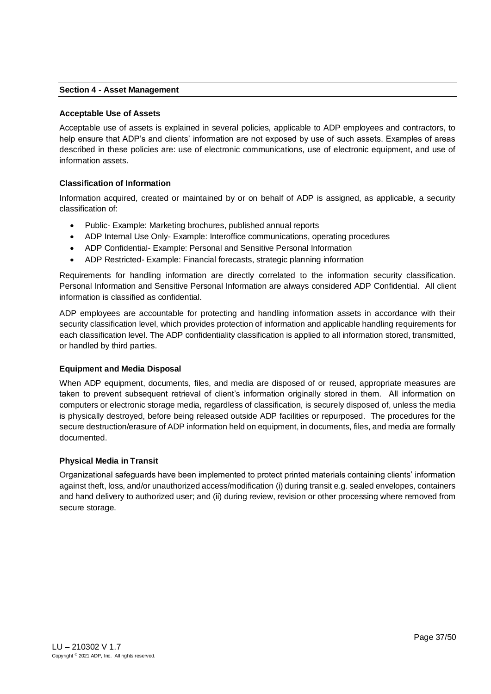## <span id="page-36-0"></span>**Section 4 - Asset Management**

### **Acceptable Use of Assets**

Acceptable use of assets is explained in several policies, applicable to ADP employees and contractors, to help ensure that ADP's and clients' information are not exposed by use of such assets. Examples of areas described in these policies are: use of electronic communications, use of electronic equipment, and use of information assets.

# **Classification of Information**

Information acquired, created or maintained by or on behalf of ADP is assigned, as applicable, a security classification of:

- Public- Example: Marketing brochures, published annual reports
- ADP Internal Use Only- Example: Interoffice communications, operating procedures
- ADP Confidential- Example: Personal and Sensitive Personal Information
- ADP Restricted- Example: Financial forecasts, strategic planning information

Requirements for handling information are directly correlated to the information security classification. Personal Information and Sensitive Personal Information are always considered ADP Confidential. All client information is classified as confidential.

ADP employees are accountable for protecting and handling information assets in accordance with their security classification level, which provides protection of information and applicable handling requirements for each classification level. The ADP confidentiality classification is applied to all information stored, transmitted, or handled by third parties.

### **Equipment and Media Disposal**

When ADP equipment, documents, files, and media are disposed of or reused, appropriate measures are taken to prevent subsequent retrieval of client's information originally stored in them. All information on computers or electronic storage media, regardless of classification, is securely disposed of, unless the media is physically destroyed, before being released outside ADP facilities or repurposed. The procedures for the secure destruction/erasure of ADP information held on equipment, in documents, files, and media are formally documented.

### **Physical Media in Transit**

Organizational safeguards have been implemented to protect printed materials containing clients' information against theft, loss, and/or unauthorized access/modification (i) during transit e.g. sealed envelopes, containers and hand delivery to authorized user; and (ii) during review, revision or other processing where removed from secure storage.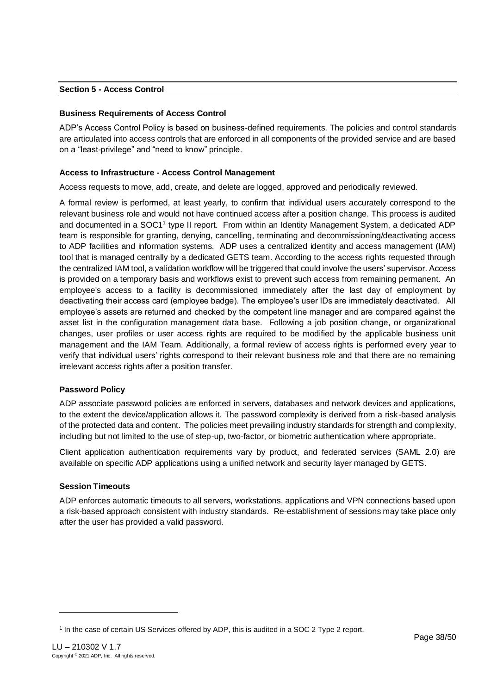# <span id="page-37-0"></span>**Section 5 - Access Control**

# **Business Requirements of Access Control**

ADP's Access Control Policy is based on business-defined requirements. The policies and control standards are articulated into access controls that are enforced in all components of the provided service and are based on a "least-privilege" and "need to know" principle.

### **Access to Infrastructure - Access Control Management**

Access requests to move, add, create, and delete are logged, approved and periodically reviewed.

A formal review is performed, at least yearly, to confirm that individual users accurately correspond to the relevant business role and would not have continued access after a position change. This process is audited and documented in a SOC1<sup>1</sup> type II report. From within an Identity Management System, a dedicated ADP team is responsible for granting, denying, cancelling, terminating and decommissioning/deactivating access to ADP facilities and information systems. ADP uses a centralized identity and access management (IAM) tool that is managed centrally by a dedicated GETS team. According to the access rights requested through the centralized IAM tool, a validation workflow will be triggered that could involve the users' supervisor. Access is provided on a temporary basis and workflows exist to prevent such access from remaining permanent. An employee's access to a facility is decommissioned immediately after the last day of employment by deactivating their access card (employee badge). The employee's user IDs are immediately deactivated. All employee's assets are returned and checked by the competent line manager and are compared against the asset list in the configuration management data base. Following a job position change, or organizational changes, user profiles or user access rights are required to be modified by the applicable business unit management and the IAM Team. Additionally, a formal review of access rights is performed every year to verify that individual users' rights correspond to their relevant business role and that there are no remaining irrelevant access rights after a position transfer.

# **Password Policy**

ADP associate password policies are enforced in servers, databases and network devices and applications, to the extent the device/application allows it. The password complexity is derived from a risk-based analysis of the protected data and content. The policies meet prevailing industry standards for strength and complexity, including but not limited to the use of step-up, two-factor, or biometric authentication where appropriate.

Client application authentication requirements vary by product, and federated services (SAML 2.0) are available on specific ADP applications using a unified network and security layer managed by GETS.

# **Session Timeouts**

ADP enforces automatic timeouts to all servers, workstations, applications and VPN connections based upon a risk-based approach consistent with industry standards. Re-establishment of sessions may take place only after the user has provided a valid password.

<sup>1</sup> In the case of certain US Services offered by ADP, this is audited in a SOC 2 Type 2 report.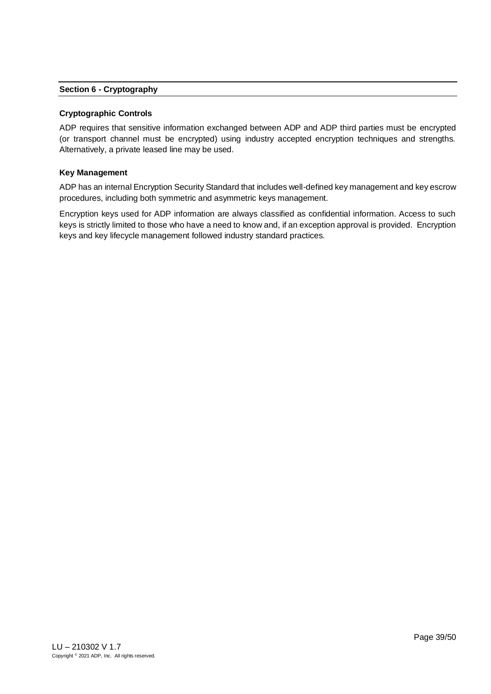### <span id="page-38-0"></span>**Section 6 - Cryptography**

#### **Cryptographic Controls**

ADP requires that sensitive information exchanged between ADP and ADP third parties must be encrypted (or transport channel must be encrypted) using industry accepted encryption techniques and strengths. Alternatively, a private leased line may be used.

#### **Key Management**

ADP has an internal Encryption Security Standard that includes well-defined key management and key escrow procedures, including both symmetric and asymmetric keys management.

Encryption keys used for ADP information are always classified as confidential information. Access to such keys is strictly limited to those who have a need to know and, if an exception approval is provided. Encryption keys and key lifecycle management followed industry standard practices.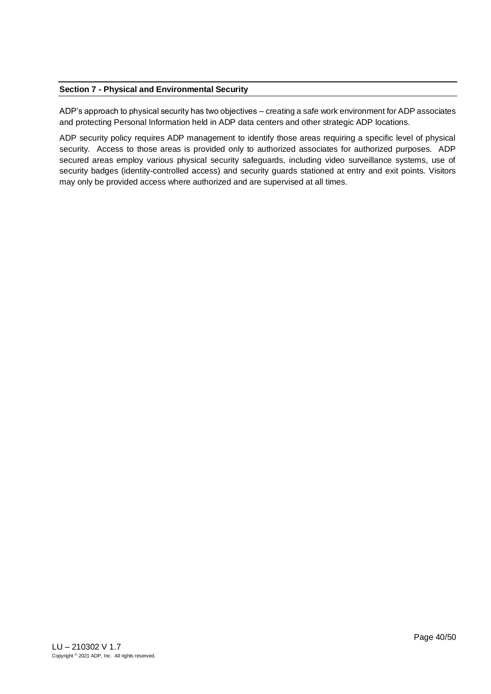# <span id="page-39-0"></span>**Section 7 - Physical and Environmental Security**

ADP's approach to physical security has two objectives – creating a safe work environment for ADP associates and protecting Personal Information held in ADP data centers and other strategic ADP locations.

ADP security policy requires ADP management to identify those areas requiring a specific level of physical security. Access to those areas is provided only to authorized associates for authorized purposes. ADP secured areas employ various physical security safeguards, including video surveillance systems, use of security badges (identity-controlled access) and security guards stationed at entry and exit points. Visitors may only be provided access where authorized and are supervised at all times.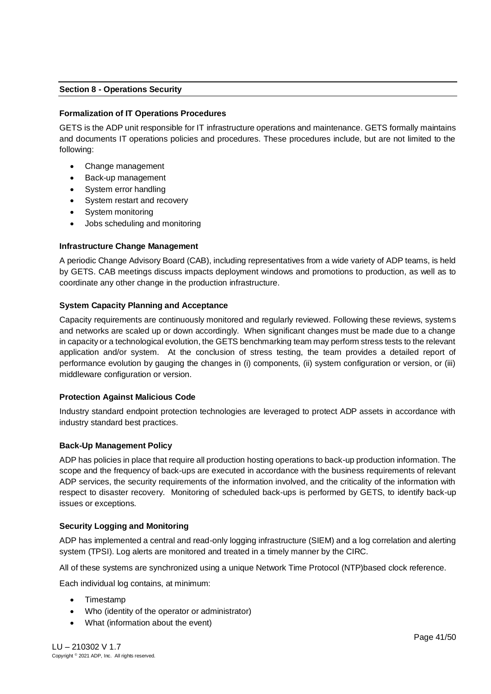# <span id="page-40-0"></span>**Section 8 - Operations Security**

### **Formalization of IT Operations Procedures**

GETS is the ADP unit responsible for IT infrastructure operations and maintenance. GETS formally maintains and documents IT operations policies and procedures. These procedures include, but are not limited to the following:

- Change management
- Back-up management
- System error handling
- System restart and recovery
- System monitoring
- Jobs scheduling and monitoring

### **Infrastructure Change Management**

A periodic Change Advisory Board (CAB), including representatives from a wide variety of ADP teams, is held by GETS. CAB meetings discuss impacts deployment windows and promotions to production, as well as to coordinate any other change in the production infrastructure.

### **System Capacity Planning and Acceptance**

Capacity requirements are continuously monitored and regularly reviewed. Following these reviews, systems and networks are scaled up or down accordingly. When significant changes must be made due to a change in capacity or a technological evolution, the GETS benchmarking team may perform stress tests to the relevant application and/or system. At the conclusion of stress testing, the team provides a detailed report of performance evolution by gauging the changes in (i) components, (ii) system configuration or version, or (iii) middleware configuration or version.

### **Protection Against Malicious Code**

Industry standard endpoint protection technologies are leveraged to protect ADP assets in accordance with industry standard best practices.

### **Back-Up Management Policy**

ADP has policies in place that require all production hosting operations to back-up production information. The scope and the frequency of back-ups are executed in accordance with the business requirements of relevant ADP services, the security requirements of the information involved, and the criticality of the information with respect to disaster recovery. Monitoring of scheduled back-ups is performed by GETS, to identify back-up issues or exceptions.

### **Security Logging and Monitoring**

ADP has implemented a central and read-only logging infrastructure (SIEM) and a log correlation and alerting system (TPSI). Log alerts are monitored and treated in a timely manner by the CIRC.

All of these systems are synchronized using a unique Network Time Protocol (NTP)based clock reference.

Each individual log contains, at minimum:

- Timestamp
- Who (identity of the operator or administrator)
- What (information about the event)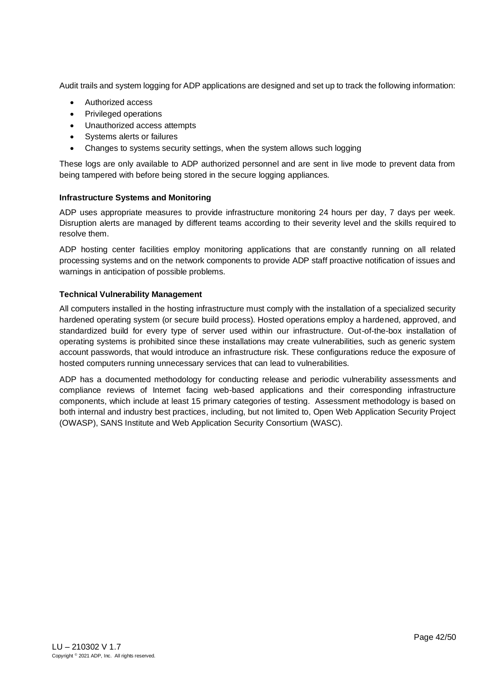Audit trails and system logging for ADP applications are designed and set up to track the following information:

- Authorized access
- Privileged operations
- Unauthorized access attempts
- Systems alerts or failures
- Changes to systems security settings, when the system allows such logging

These logs are only available to ADP authorized personnel and are sent in live mode to prevent data from being tampered with before being stored in the secure logging appliances.

# **Infrastructure Systems and Monitoring**

ADP uses appropriate measures to provide infrastructure monitoring 24 hours per day, 7 days per week. Disruption alerts are managed by different teams according to their severity level and the skills required to resolve them.

ADP hosting center facilities employ monitoring applications that are constantly running on all related processing systems and on the network components to provide ADP staff proactive notification of issues and warnings in anticipation of possible problems.

# **Technical Vulnerability Management**

All computers installed in the hosting infrastructure must comply with the installation of a specialized security hardened operating system (or secure build process). Hosted operations employ a hardened, approved, and standardized build for every type of server used within our infrastructure. Out-of-the-box installation of operating systems is prohibited since these installations may create vulnerabilities, such as generic system account passwords, that would introduce an infrastructure risk. These configurations reduce the exposure of hosted computers running unnecessary services that can lead to vulnerabilities.

ADP has a documented methodology for conducting release and periodic vulnerability assessments and compliance reviews of Internet facing web-based applications and their corresponding infrastructure components, which include at least 15 primary categories of testing. Assessment methodology is based on both internal and industry best practices, including, but not limited to, Open Web Application Security Project (OWASP), SANS Institute and Web Application Security Consortium (WASC).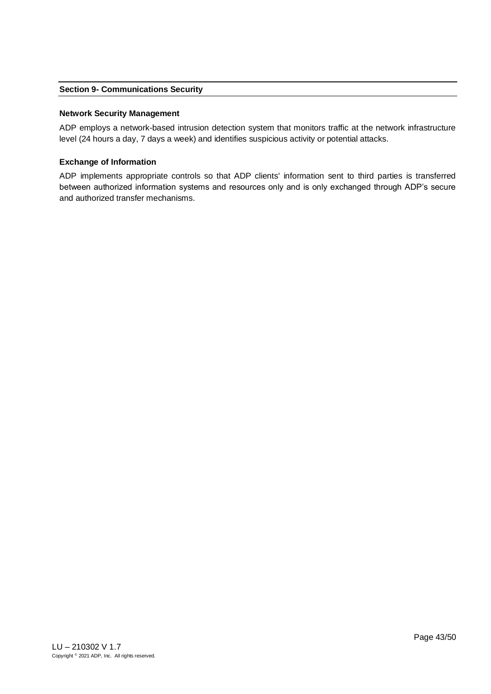### <span id="page-42-0"></span>**Section 9- Communications Security**

#### **Network Security Management**

ADP employs a network-based intrusion detection system that monitors traffic at the network infrastructure level (24 hours a day, 7 days a week) and identifies suspicious activity or potential attacks.

#### **Exchange of Information**

ADP implements appropriate controls so that ADP clients' information sent to third parties is transferred between authorized information systems and resources only and is only exchanged through ADP's secure and authorized transfer mechanisms.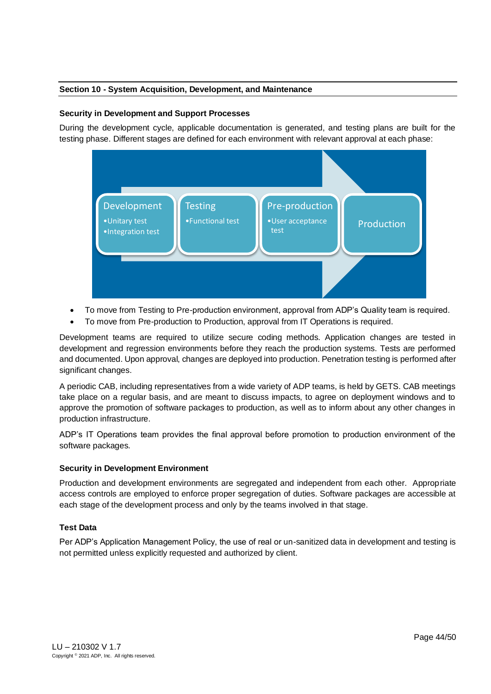# <span id="page-43-0"></span>**Section 10 - System Acquisition, Development, and Maintenance**

### **Security in Development and Support Processes**

During the development cycle, applicable documentation is generated, and testing plans are built for the testing phase. Different stages are defined for each environment with relevant approval at each phase:



- To move from Testing to Pre-production environment, approval from ADP's Quality team is required.
- To move from Pre-production to Production, approval from IT Operations is required.

Development teams are required to utilize secure coding methods. Application changes are tested in development and regression environments before they reach the production systems. Tests are performed and documented. Upon approval, changes are deployed into production. Penetration testing is performed after significant changes.

A periodic CAB, including representatives from a wide variety of ADP teams, is held by GETS. CAB meetings take place on a regular basis, and are meant to discuss impacts, to agree on deployment windows and to approve the promotion of software packages to production, as well as to inform about any other changes in production infrastructure.

ADP's IT Operations team provides the final approval before promotion to production environment of the software packages.

### **Security in Development Environment**

Production and development environments are segregated and independent from each other. Appropriate access controls are employed to enforce proper segregation of duties. Software packages are accessible at each stage of the development process and only by the teams involved in that stage.

### **Test Data**

<span id="page-43-1"></span>Per ADP's Application Management Policy, the use of real or un-sanitized data in development and testing is not permitted unless explicitly requested and authorized by client.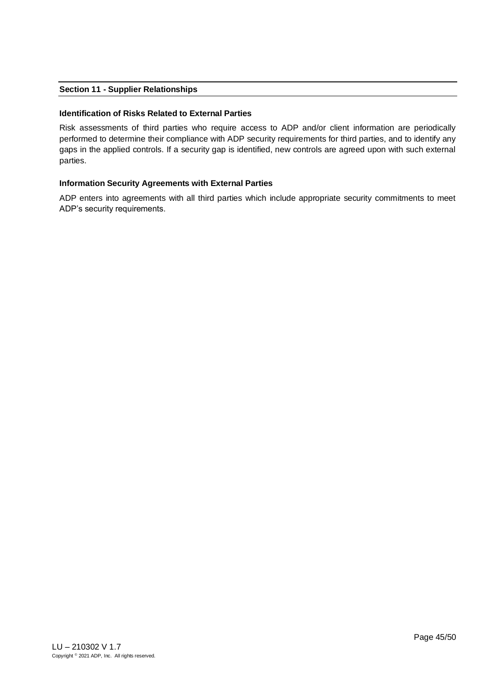# **Section 11 - Supplier Relationships**

### **Identification of Risks Related to External Parties**

Risk assessments of third parties who require access to ADP and/or client information are periodically performed to determine their compliance with ADP security requirements for third parties, and to identify any gaps in the applied controls. If a security gap is identified, new controls are agreed upon with such external parties.

### **Information Security Agreements with External Parties**

ADP enters into agreements with all third parties which include appropriate security commitments to meet ADP's security requirements.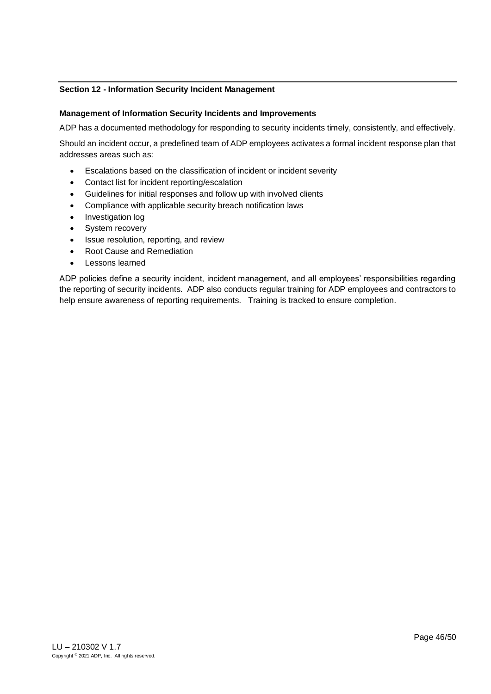# <span id="page-45-0"></span>**Section 12 - Information Security Incident Management**

#### **Management of Information Security Incidents and Improvements**

ADP has a documented methodology for responding to security incidents timely, consistently, and effectively.

Should an incident occur, a predefined team of ADP employees activates a formal incident response plan that addresses areas such as:

- Escalations based on the classification of incident or incident severity
- Contact list for incident reporting/escalation
- Guidelines for initial responses and follow up with involved clients
- Compliance with applicable security breach notification laws
- Investigation log
- System recovery
- Issue resolution, reporting, and review
- Root Cause and Remediation
- Lessons learned

ADP policies define a security incident, incident management, and all employees' responsibilities regarding the reporting of security incidents. ADP also conducts regular training for ADP employees and contractors to help ensure awareness of reporting requirements. Training is tracked to ensure completion.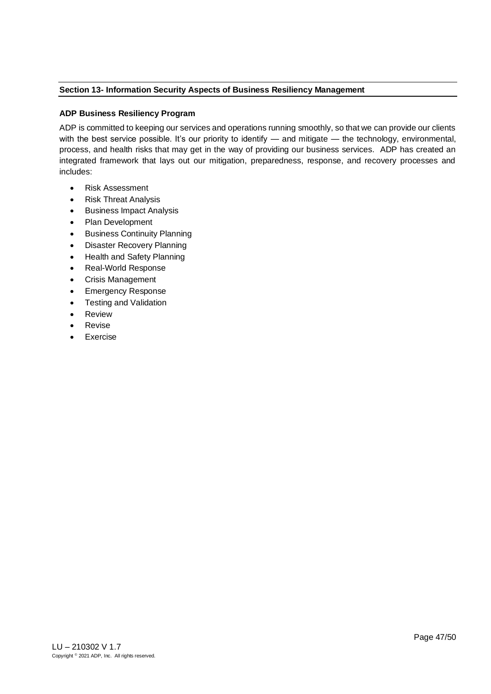# <span id="page-46-0"></span>**Section 13- Information Security Aspects of Business Resiliency Management**

# **ADP Business Resiliency Program**

ADP is committed to keeping our services and operations running smoothly, so that we can provide our clients with the best service possible. It's our priority to identify — and mitigate — the technology, environmental, process, and health risks that may get in the way of providing our business services. ADP has created an integrated framework that lays out our mitigation, preparedness, response, and recovery processes and includes:

- Risk Assessment
- Risk Threat Analysis
- Business Impact Analysis
- Plan Development
- **Business Continuity Planning**
- Disaster Recovery Planning
- Health and Safety Planning
- Real-World Response
- Crisis Management
- Emergency Response
- Testing and Validation
- **Review**
- **Revise**
- <span id="page-46-1"></span>**Exercise**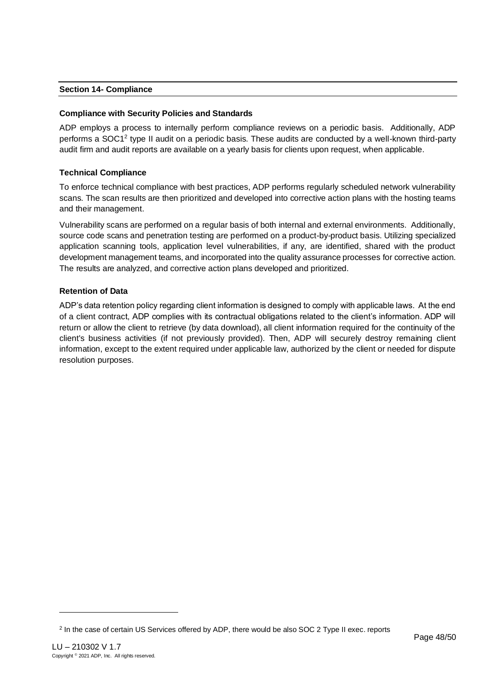# **Section 14- Compliance**

# **Compliance with Security Policies and Standards**

ADP employs a process to internally perform compliance reviews on a periodic basis. Additionally, ADP performs a SOC1<sup>2</sup> type II audit on a periodic basis. These audits are conducted by a well-known third-party audit firm and audit reports are available on a yearly basis for clients upon request, when applicable.

# **Technical Compliance**

To enforce technical compliance with best practices, ADP performs regularly scheduled network vulnerability scans. The scan results are then prioritized and developed into corrective action plans with the hosting teams and their management.

Vulnerability scans are performed on a regular basis of both internal and external environments. Additionally, source code scans and penetration testing are performed on a product-by-product basis. Utilizing specialized application scanning tools, application level vulnerabilities, if any, are identified, shared with the product development management teams, and incorporated into the quality assurance processes for corrective action. The results are analyzed, and corrective action plans developed and prioritized.

# **Retention of Data**

ADP's data retention policy regarding client information is designed to comply with applicable laws. At the end of a client contract, ADP complies with its contractual obligations related to the client's information. ADP will return or allow the client to retrieve (by data download), all client information required for the continuity of the client's business activities (if not previously provided). Then, ADP will securely destroy remaining client information, except to the extent required under applicable law, authorized by the client or needed for dispute resolution purposes.

<sup>&</sup>lt;sup>2</sup> In the case of certain US Services offered by ADP, there would be also SOC 2 Type II exec. reports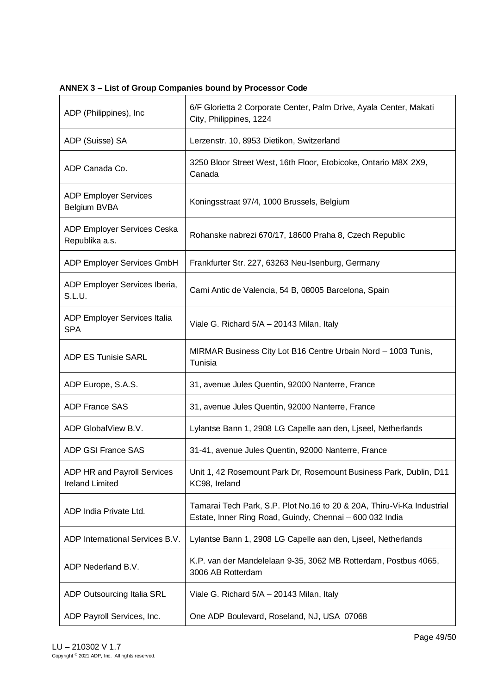<span id="page-48-0"></span>**ANNEX 3 – List of Group Companies bound by Processor Code**

| ADP (Philippines), Inc.                               | 6/F Glorietta 2 Corporate Center, Palm Drive, Ayala Center, Makati<br>City, Philippines, 1224                                      |
|-------------------------------------------------------|------------------------------------------------------------------------------------------------------------------------------------|
| ADP (Suisse) SA                                       | Lerzenstr. 10, 8953 Dietikon, Switzerland                                                                                          |
| ADP Canada Co.                                        | 3250 Bloor Street West, 16th Floor, Etobicoke, Ontario M8X 2X9,<br>Canada                                                          |
| <b>ADP Employer Services</b><br>Belgium BVBA          | Koningsstraat 97/4, 1000 Brussels, Belgium                                                                                         |
| ADP Employer Services Ceska<br>Republika a.s.         | Rohanske nabrezi 670/17, 18600 Praha 8, Czech Republic                                                                             |
| ADP Employer Services GmbH                            | Frankfurter Str. 227, 63263 Neu-Isenburg, Germany                                                                                  |
| ADP Employer Services Iberia,<br>S.L.U.               | Cami Antic de Valencia, 54 B, 08005 Barcelona, Spain                                                                               |
| ADP Employer Services Italia<br><b>SPA</b>            | Viale G. Richard 5/A - 20143 Milan, Italy                                                                                          |
| <b>ADP ES Tunisie SARL</b>                            | MIRMAR Business City Lot B16 Centre Urbain Nord - 1003 Tunis,<br>Tunisia                                                           |
| ADP Europe, S.A.S.                                    | 31, avenue Jules Quentin, 92000 Nanterre, France                                                                                   |
| <b>ADP France SAS</b>                                 | 31, avenue Jules Quentin, 92000 Nanterre, France                                                                                   |
| ADP GlobalView B.V.                                   | Lylantse Bann 1, 2908 LG Capelle aan den, Liseel, Netherlands                                                                      |
| ADP GSI France SAS                                    | 31-41, avenue Jules Quentin, 92000 Nanterre, France                                                                                |
| ADP HR and Payroll Services<br><b>Ireland Limited</b> | Unit 1, 42 Rosemount Park Dr, Rosemount Business Park, Dublin, D11<br>KC98, Ireland                                                |
| ADP India Private Ltd.                                | Tamarai Tech Park, S.P. Plot No.16 to 20 & 20A, Thiru-Vi-Ka Industrial<br>Estate, Inner Ring Road, Guindy, Chennai - 600 032 India |
| ADP International Services B.V.                       | Lylantse Bann 1, 2908 LG Capelle aan den, Liseel, Netherlands                                                                      |
| ADP Nederland B.V.                                    | K.P. van der Mandelelaan 9-35, 3062 MB Rotterdam, Postbus 4065,<br>3006 AB Rotterdam                                               |
| ADP Outsourcing Italia SRL                            | Viale G. Richard 5/A - 20143 Milan, Italy                                                                                          |
| ADP Payroll Services, Inc.                            | One ADP Boulevard, Roseland, NJ, USA 07068                                                                                         |

 $\overline{\phantom{a}}$